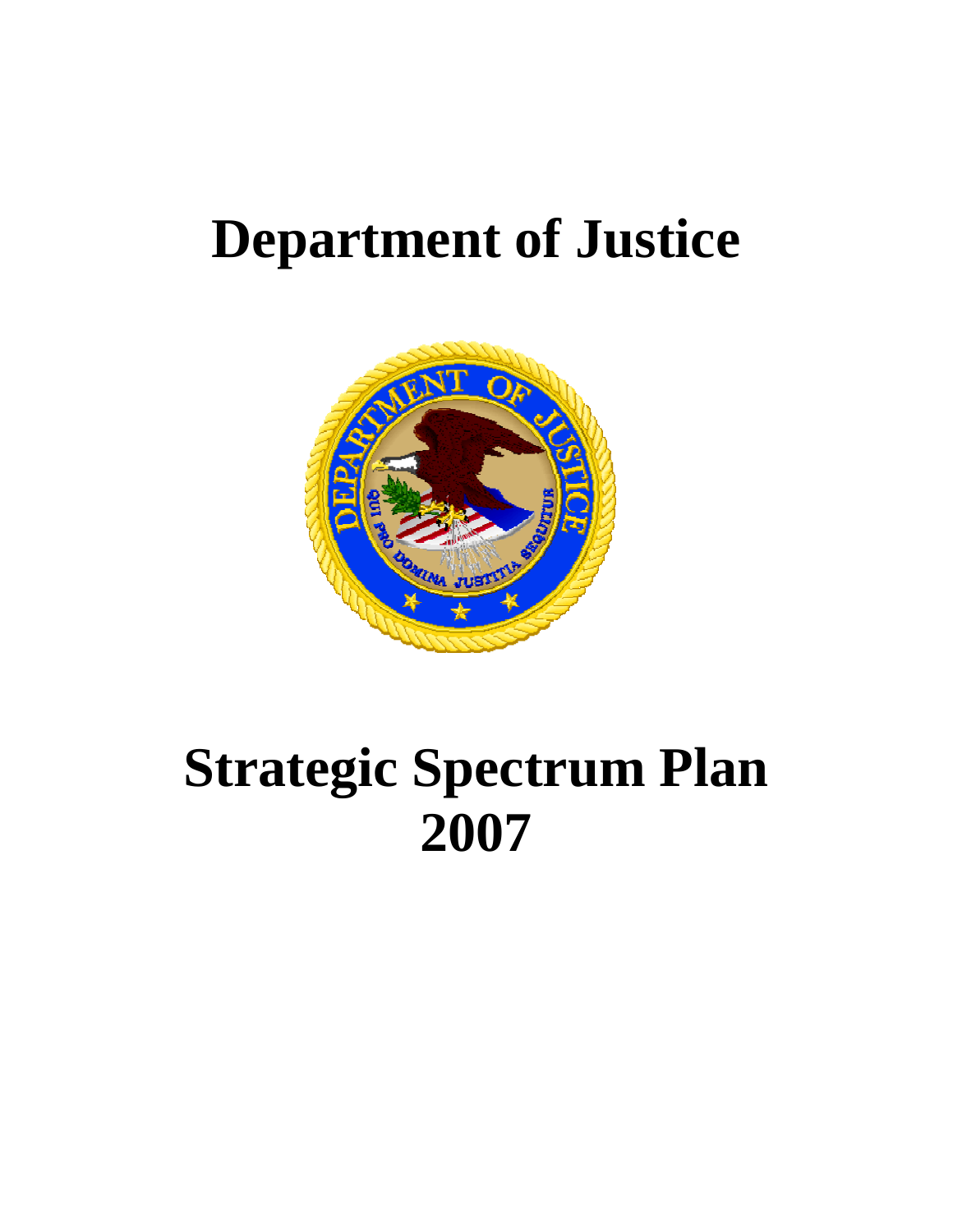# **Department of Justice**



# **Strategic Spectrum Plan 2007**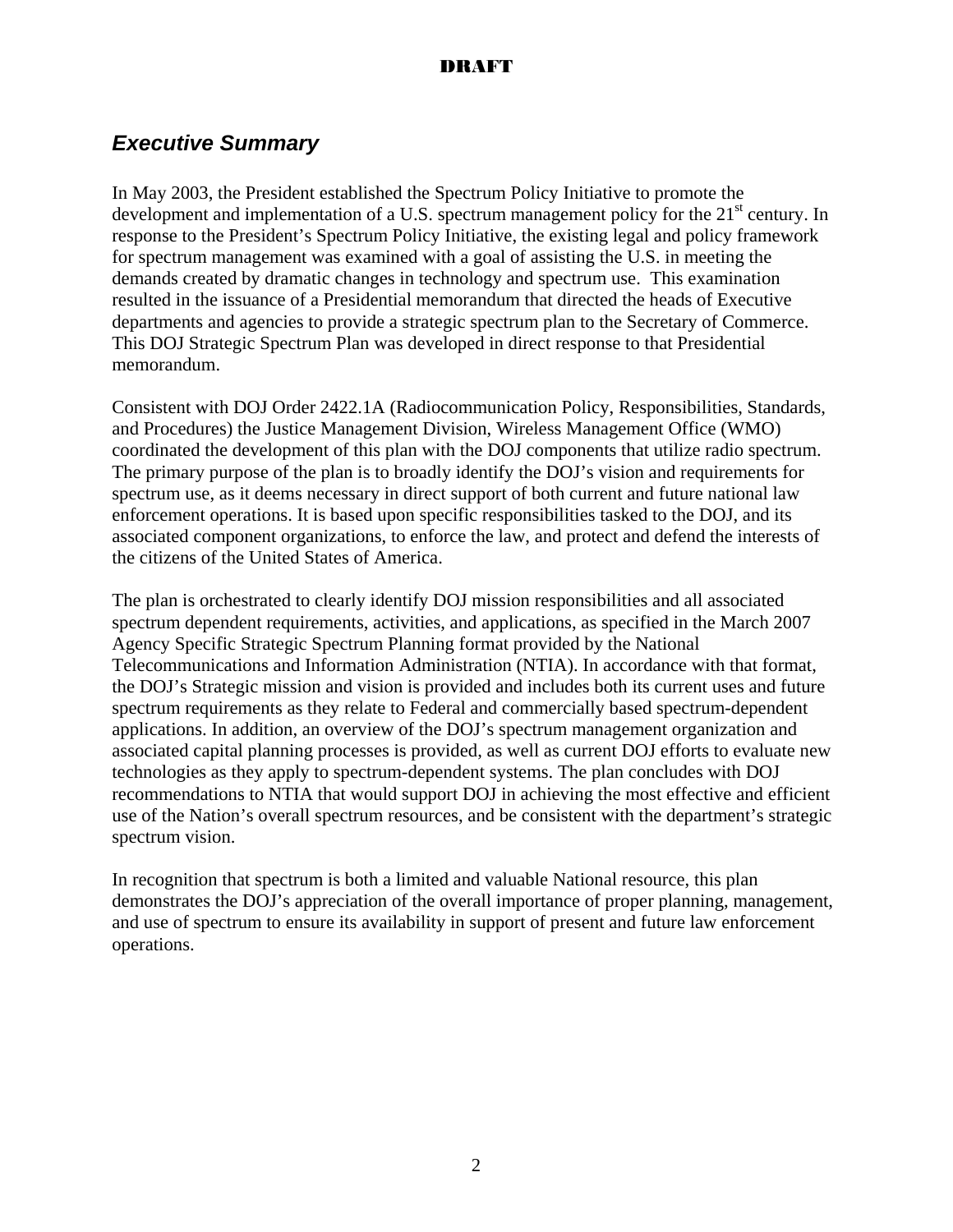## *Executive Summary*

In May 2003, the President established the Spectrum Policy Initiative to promote the development and implementation of a U.S. spectrum management policy for the 21<sup>st</sup> century. In response to the President's Spectrum Policy Initiative, the existing legal and policy framework for spectrum management was examined with a goal of assisting the U.S. in meeting the demands created by dramatic changes in technology and spectrum use. This examination resulted in the issuance of a Presidential memorandum that directed the heads of Executive departments and agencies to provide a strategic spectrum plan to the Secretary of Commerce. This DOJ Strategic Spectrum Plan was developed in direct response to that Presidential memorandum.

Consistent with DOJ Order 2422.1A (Radiocommunication Policy, Responsibilities, Standards, and Procedures) the Justice Management Division, Wireless Management Office (WMO) coordinated the development of this plan with the DOJ components that utilize radio spectrum. The primary purpose of the plan is to broadly identify the DOJ's vision and requirements for spectrum use, as it deems necessary in direct support of both current and future national law enforcement operations. It is based upon specific responsibilities tasked to the DOJ, and its associated component organizations, to enforce the law, and protect and defend the interests of the citizens of the United States of America.

The plan is orchestrated to clearly identify DOJ mission responsibilities and all associated spectrum dependent requirements, activities, and applications, as specified in the March 2007 Agency Specific Strategic Spectrum Planning format provided by the National Telecommunications and Information Administration (NTIA). In accordance with that format, the DOJ's Strategic mission and vision is provided and includes both its current uses and future spectrum requirements as they relate to Federal and commercially based spectrum-dependent applications. In addition, an overview of the DOJ's spectrum management organization and associated capital planning processes is provided, as well as current DOJ efforts to evaluate new technologies as they apply to spectrum-dependent systems. The plan concludes with DOJ recommendations to NTIA that would support DOJ in achieving the most effective and efficient use of the Nation's overall spectrum resources, and be consistent with the department's strategic spectrum vision.

In recognition that spectrum is both a limited and valuable National resource, this plan demonstrates the DOJ's appreciation of the overall importance of proper planning, management, and use of spectrum to ensure its availability in support of present and future law enforcement operations.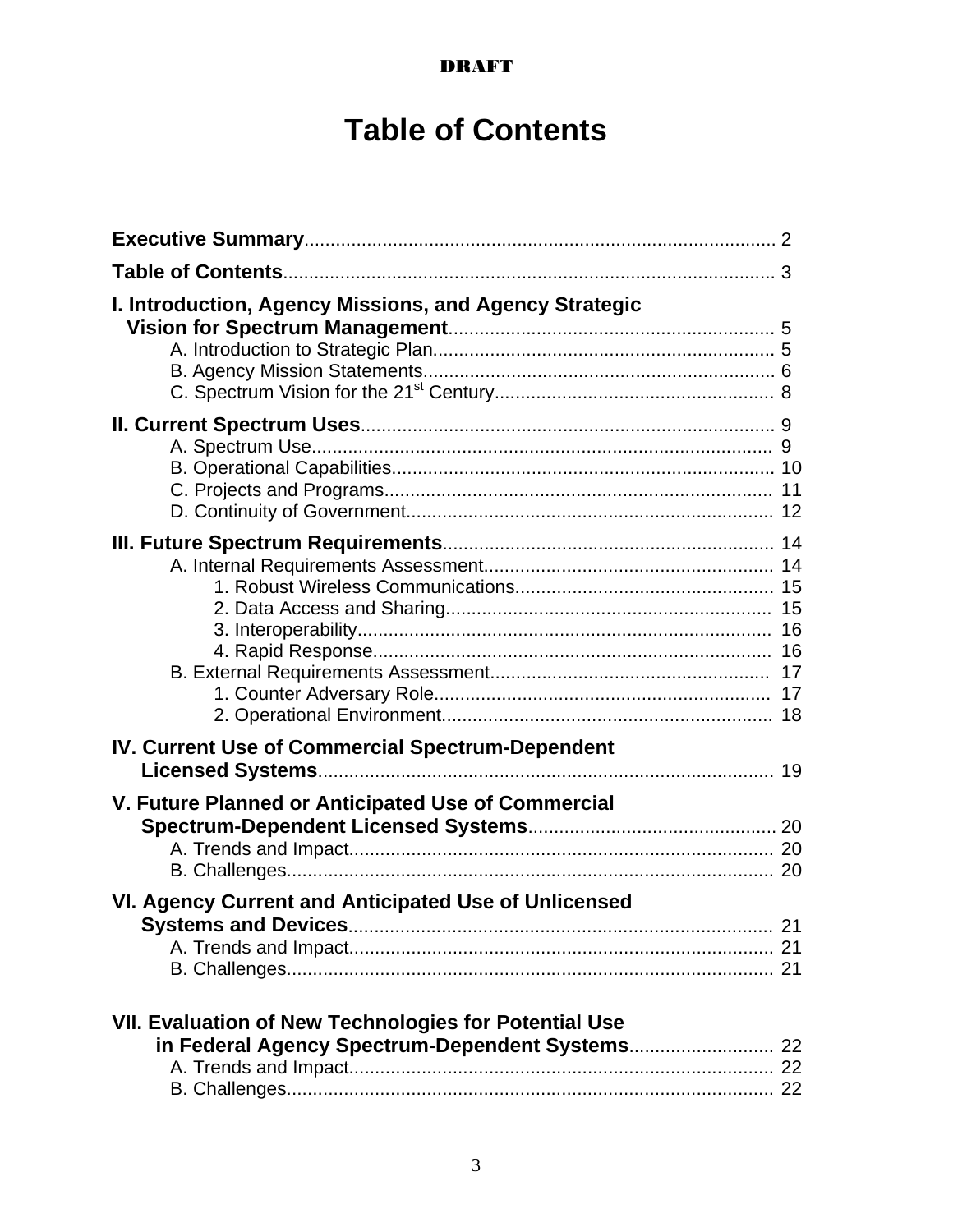# **Table of Contents**

| I. Introduction, Agency Missions, and Agency Strategic                                                     |  |
|------------------------------------------------------------------------------------------------------------|--|
|                                                                                                            |  |
|                                                                                                            |  |
| IV. Current Use of Commercial Spectrum-Dependent                                                           |  |
| V. Future Planned or Anticipated Use of Commercial<br>VI. Agency Current and Anticipated Use of Unlicensed |  |
|                                                                                                            |  |
| VII. Evaluation of New Technologies for Potential Use                                                      |  |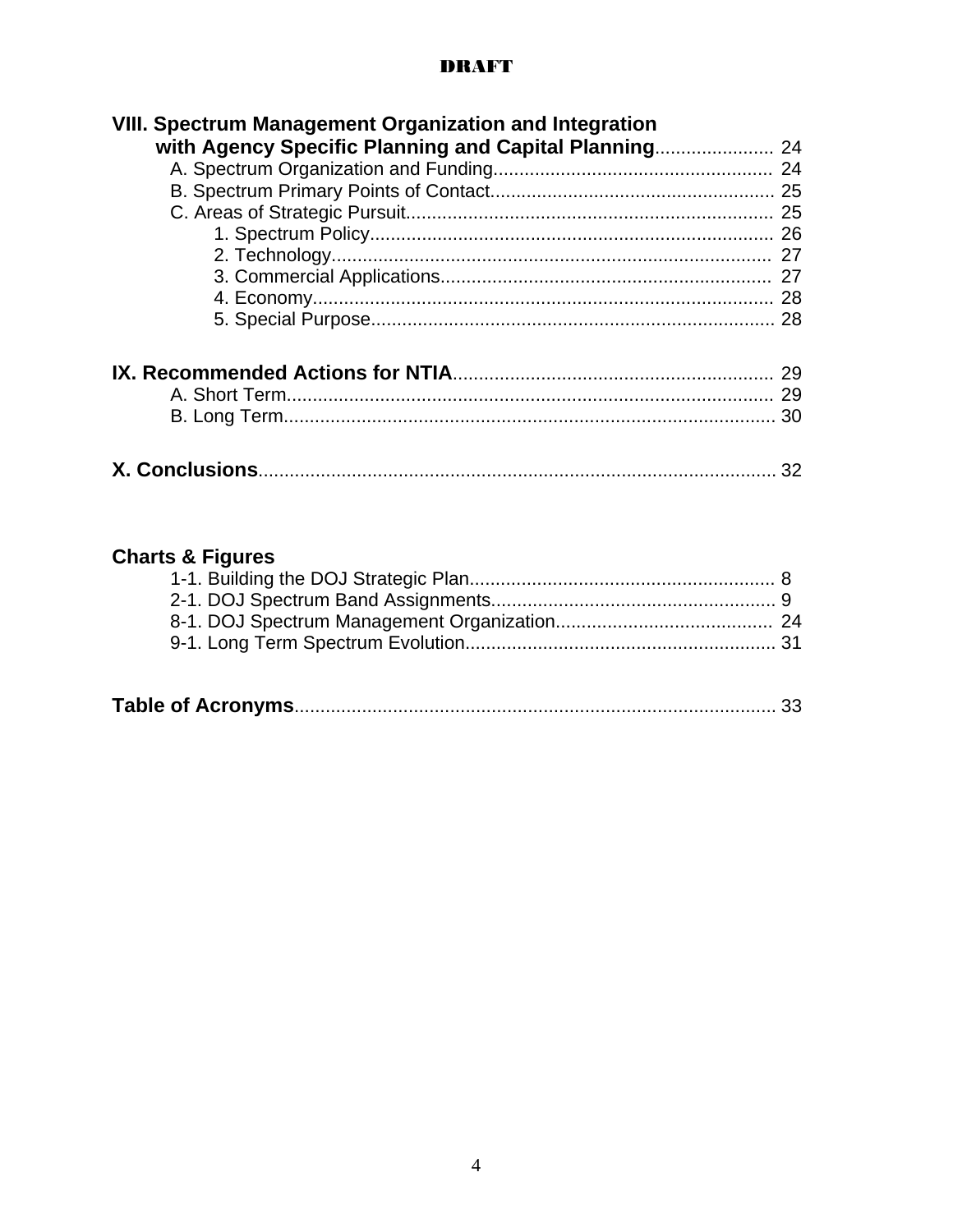| <b>VIII. Spectrum Management Organization and Integration</b> |  |
|---------------------------------------------------------------|--|
| with Agency Specific Planning and Capital Planning 24         |  |
|                                                               |  |
|                                                               |  |
|                                                               |  |
|                                                               |  |
|                                                               |  |
|                                                               |  |
|                                                               |  |
|                                                               |  |
|                                                               |  |
|                                                               |  |
|                                                               |  |
|                                                               |  |

## **Charts & Figures**

|--|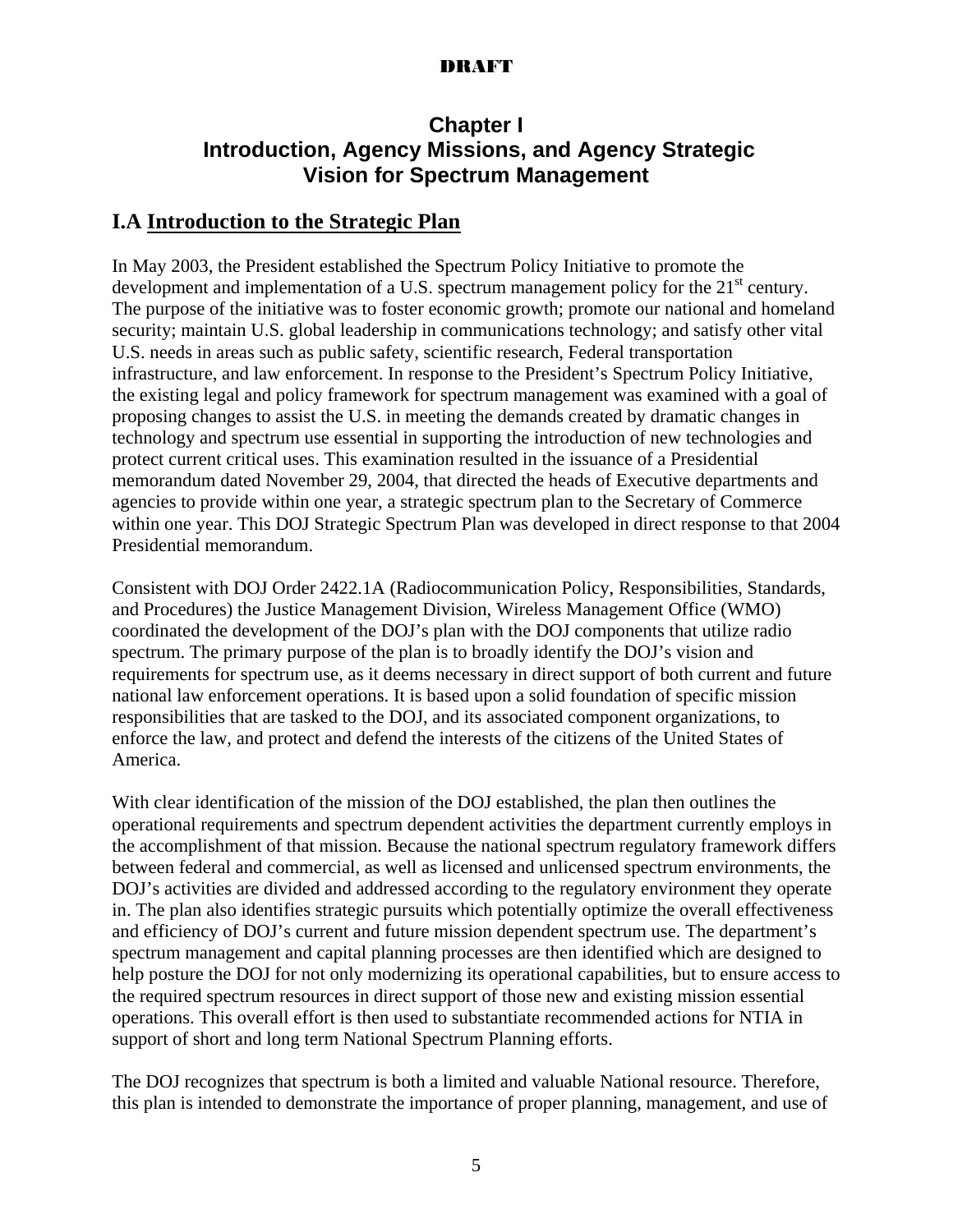## **Chapter I Introduction, Agency Missions, and Agency Strategic Vision for Spectrum Management**

### **I.A Introduction to the Strategic Plan**

In May 2003, the President established the Spectrum Policy Initiative to promote the development and implementation of a U.S. spectrum management policy for the 21<sup>st</sup> century. The purpose of the initiative was to foster economic growth; promote our national and homeland security; maintain U.S. global leadership in communications technology; and satisfy other vital U.S. needs in areas such as public safety, scientific research, Federal transportation infrastructure, and law enforcement. In response to the President's Spectrum Policy Initiative, the existing legal and policy framework for spectrum management was examined with a goal of proposing changes to assist the U.S. in meeting the demands created by dramatic changes in technology and spectrum use essential in supporting the introduction of new technologies and protect current critical uses. This examination resulted in the issuance of a Presidential memorandum dated November 29, 2004, that directed the heads of Executive departments and agencies to provide within one year, a strategic spectrum plan to the Secretary of Commerce within one year. This DOJ Strategic Spectrum Plan was developed in direct response to that 2004 Presidential memorandum.

Consistent with DOJ Order 2422.1A (Radiocommunication Policy, Responsibilities, Standards, and Procedures) the Justice Management Division, Wireless Management Office (WMO) coordinated the development of the DOJ's plan with the DOJ components that utilize radio spectrum. The primary purpose of the plan is to broadly identify the DOJ's vision and requirements for spectrum use, as it deems necessary in direct support of both current and future national law enforcement operations. It is based upon a solid foundation of specific mission responsibilities that are tasked to the DOJ, and its associated component organizations, to enforce the law, and protect and defend the interests of the citizens of the United States of America.

With clear identification of the mission of the DOJ established, the plan then outlines the operational requirements and spectrum dependent activities the department currently employs in the accomplishment of that mission. Because the national spectrum regulatory framework differs between federal and commercial, as well as licensed and unlicensed spectrum environments, the DOJ's activities are divided and addressed according to the regulatory environment they operate in. The plan also identifies strategic pursuits which potentially optimize the overall effectiveness and efficiency of DOJ's current and future mission dependent spectrum use. The department's spectrum management and capital planning processes are then identified which are designed to help posture the DOJ for not only modernizing its operational capabilities, but to ensure access to the required spectrum resources in direct support of those new and existing mission essential operations. This overall effort is then used to substantiate recommended actions for NTIA in support of short and long term National Spectrum Planning efforts.

The DOJ recognizes that spectrum is both a limited and valuable National resource. Therefore, this plan is intended to demonstrate the importance of proper planning, management, and use of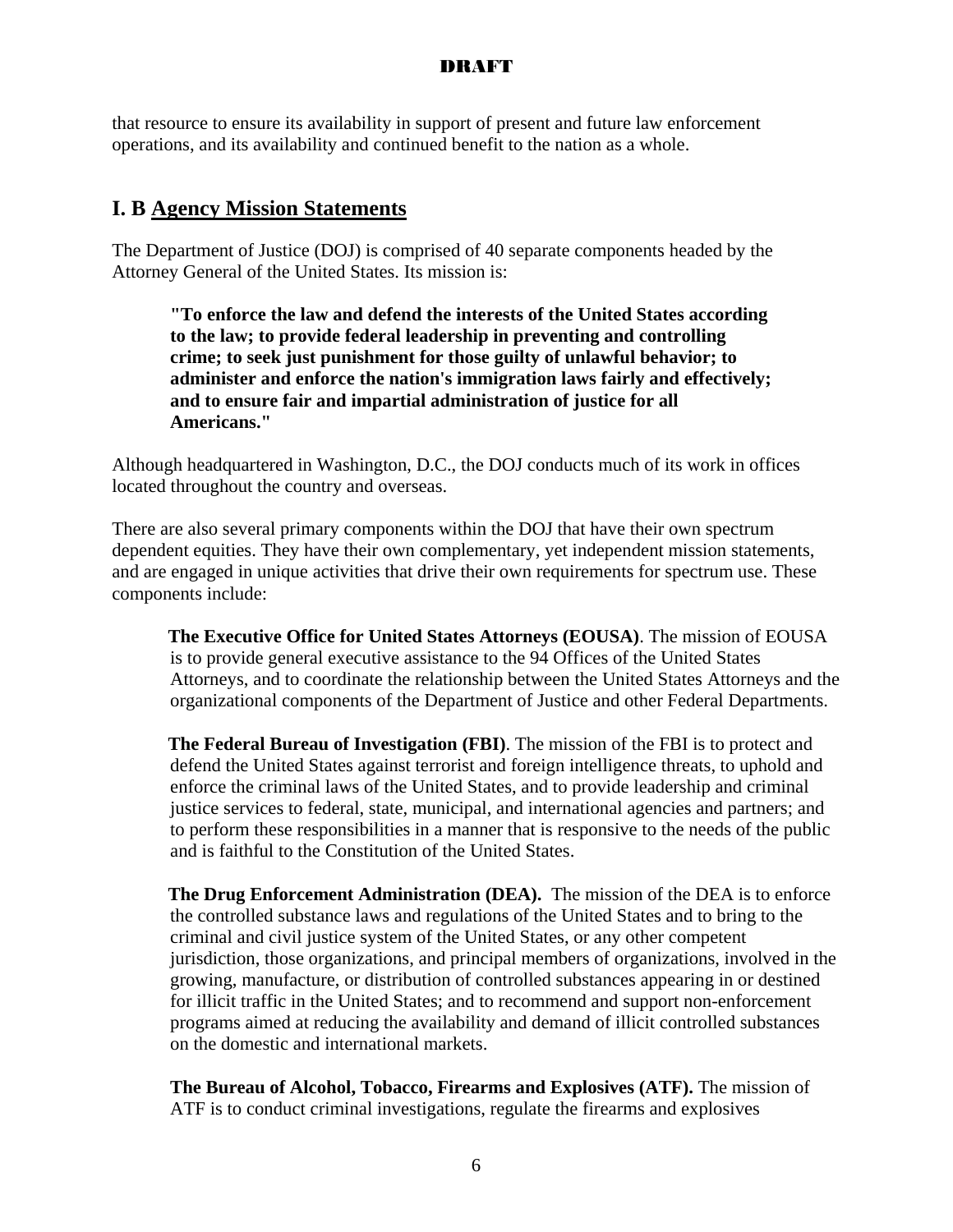that resource to ensure its availability in support of present and future law enforcement operations, and its availability and continued benefit to the nation as a whole.

### **I. B Agency Mission Statements**

The Department of Justice (DOJ) is comprised of 40 separate components headed by the Attorney General of the United States. Its mission is:

**"To enforce the law and defend the interests of the United States according to the law; to provide federal leadership in preventing and controlling crime; to seek just punishment for those guilty of unlawful behavior; to administer and enforce the nation's immigration laws fairly and effectively; and to ensure fair and impartial administration of justice for all Americans."**

Although headquartered in Washington, D.C., the DOJ conducts much of its work in offices located throughout the country and overseas.

There are also several primary components within the DOJ that have their own spectrum dependent equities. They have their own complementary, yet independent mission statements, and are engaged in unique activities that drive their own requirements for spectrum use. These components include:

**The Executive Office for United States Attorneys (EOUSA)**. The mission of EOUSA is to provide general executive assistance to the 94 Offices of the United States Attorneys, and to coordinate the relationship between the United States Attorneys and the organizational components of the Department of Justice and other Federal Departments.

**The Federal Bureau of Investigation (FBI)**. The mission of the FBI is to protect and defend the United States against terrorist and foreign intelligence threats, to uphold and enforce the criminal laws of the United States, and to provide leadership and criminal justice services to federal, state, municipal, and international agencies and partners; and to perform these responsibilities in a manner that is responsive to the needs of the public and is faithful to the Constitution of the United States.

**The Drug Enforcement Administration (DEA).** The mission of the DEA is to enforce the controlled substance laws and regulations of the United States and to bring to the criminal and civil justice system of the United States, or any other competent jurisdiction, those organizations, and principal members of organizations, involved in the growing, manufacture, or distribution of controlled substances appearing in or destined for illicit traffic in the United States; and to recommend and support non-enforcement programs aimed at reducing the availability and demand of illicit controlled substances on the domestic and international markets.

**The Bureau of Alcohol, Tobacco, Firearms and Explosives (ATF).** The mission of ATF is to conduct criminal investigations, regulate the firearms and explosives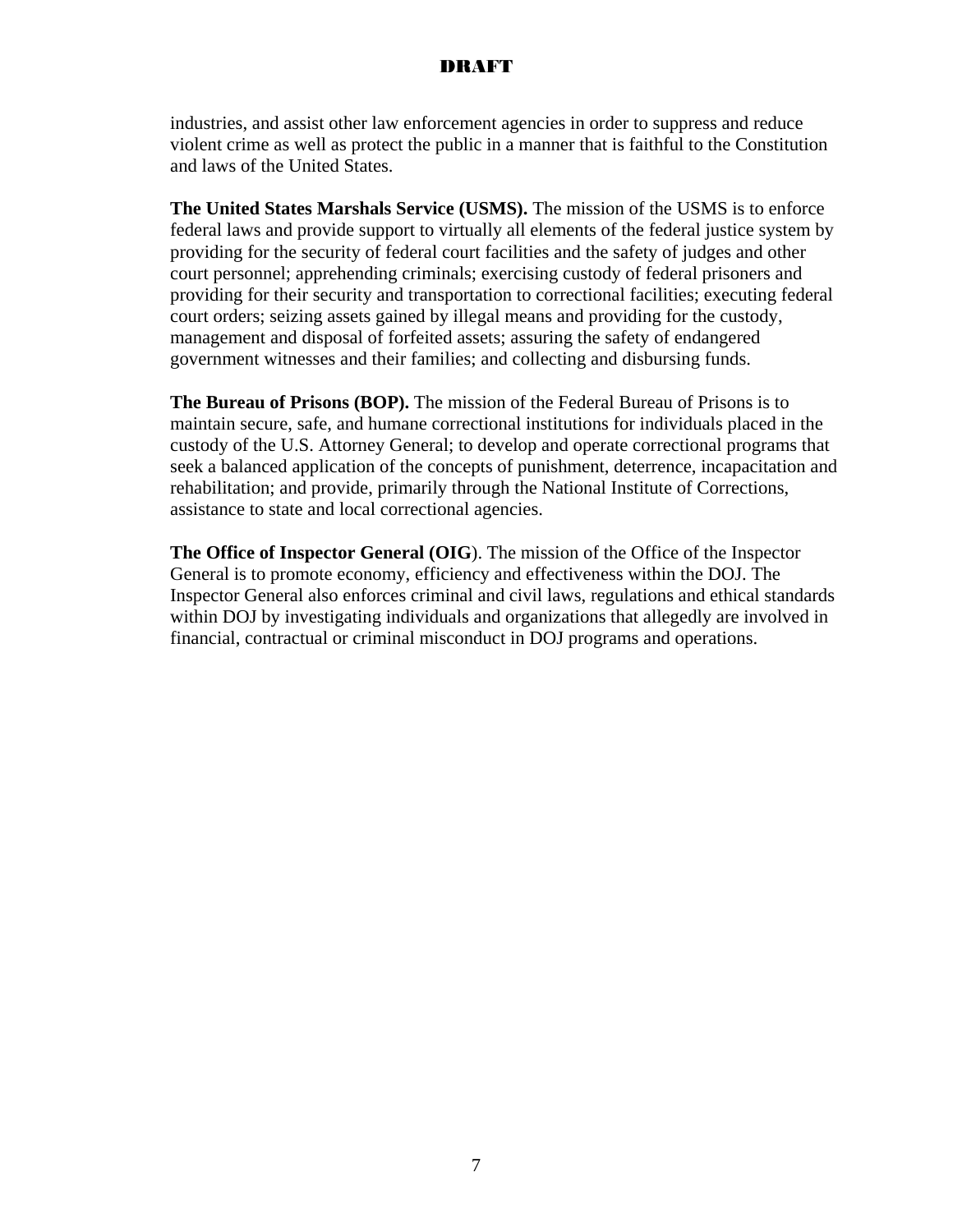industries, and assist other law enforcement agencies in order to suppress and reduce violent crime as well as protect the public in a manner that is faithful to the Constitution and laws of the United States.

**The United States Marshals Service (USMS).** The mission of the USMS is to enforce federal laws and provide support to virtually all elements of the federal justice system by providing for the security of federal court facilities and the safety of judges and other court personnel; apprehending criminals; exercising custody of federal prisoners and providing for their security and transportation to correctional facilities; executing federal court orders; seizing assets gained by illegal means and providing for the custody, management and disposal of forfeited assets; assuring the safety of endangered government witnesses and their families; and collecting and disbursing funds.

**The Bureau of Prisons (BOP).** The mission of the Federal Bureau of Prisons is to maintain secure, safe, and humane correctional institutions for individuals placed in the custody of the U.S. Attorney General; to develop and operate correctional programs that seek a balanced application of the concepts of punishment, deterrence, incapacitation and rehabilitation; and provide, primarily through the National Institute of Corrections, assistance to state and local correctional agencies.

**The Office of Inspector General (OIG**). The mission of the Office of the Inspector General is to promote economy, efficiency and effectiveness within the DOJ. The Inspector General also enforces criminal and civil laws, regulations and ethical standards within DOJ by investigating individuals and organizations that allegedly are involved in financial, contractual or criminal misconduct in DOJ programs and operations.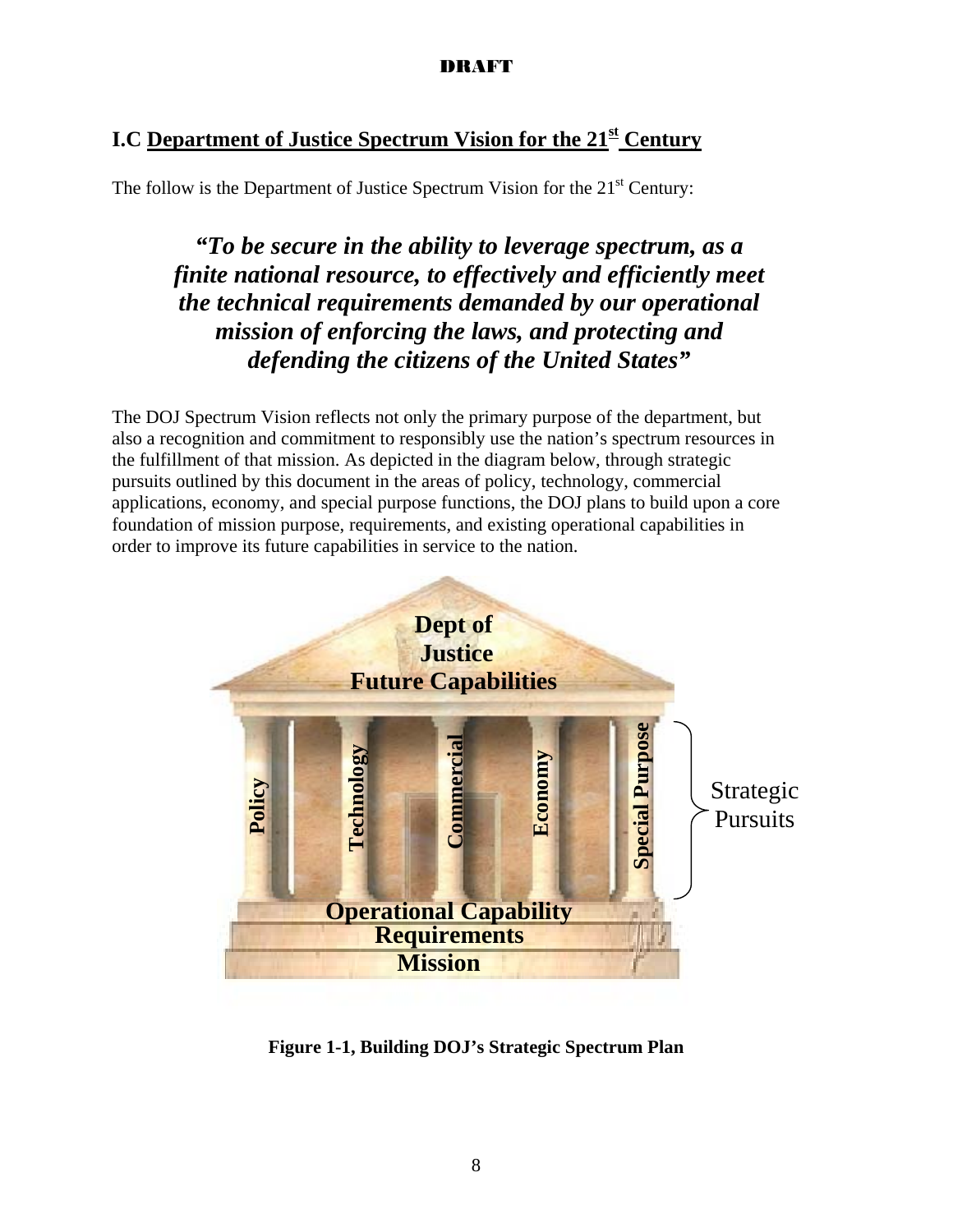## **I.C Department of Justice Spectrum Vision for the 21st Century**

The follow is the Department of Justice Spectrum Vision for the  $21<sup>st</sup>$  Century:

*"To be secure in the ability to leverage spectrum, as a finite national resource, to effectively and efficiently meet the technical requirements demanded by our operational mission of enforcing the laws, and protecting and defending the citizens of the United States"* 

The DOJ Spectrum Vision reflects not only the primary purpose of the department, but also a recognition and commitment to responsibly use the nation's spectrum resources in the fulfillment of that mission. As depicted in the diagram below, through strategic pursuits outlined by this document in the areas of policy, technology, commercial applications, economy, and special purpose functions, the DOJ plans to build upon a core foundation of mission purpose, requirements, and existing operational capabilities in order to improve its future capabilities in service to the nation.



**Figure 1-1, Building DOJ's Strategic Spectrum Plan**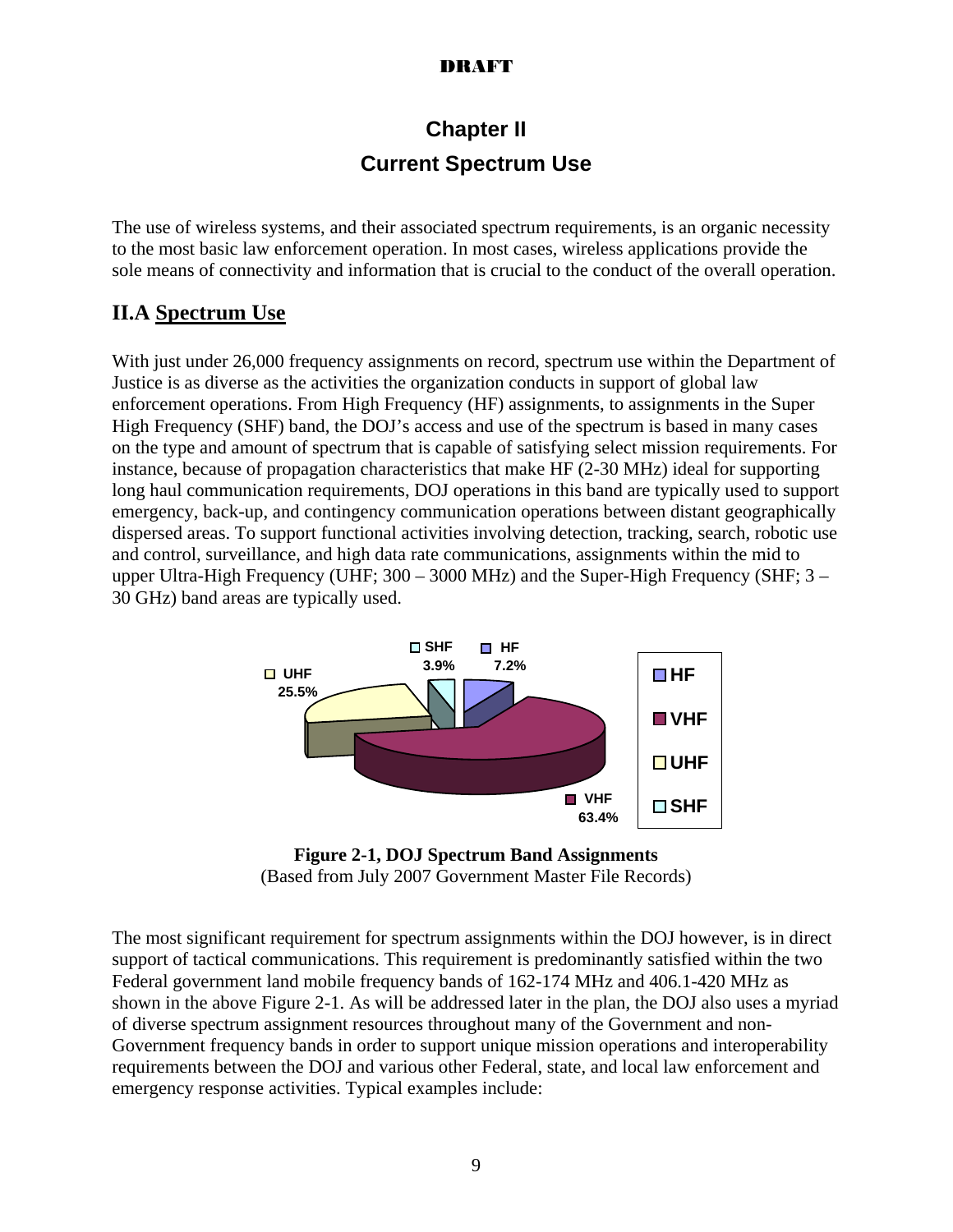# **Chapter II Current Spectrum Use**

The use of wireless systems, and their associated spectrum requirements, is an organic necessity to the most basic law enforcement operation. In most cases, wireless applications provide the sole means of connectivity and information that is crucial to the conduct of the overall operation.

#### **II.A Spectrum Use**

With just under 26,000 frequency assignments on record, spectrum use within the Department of Justice is as diverse as the activities the organization conducts in support of global law enforcement operations. From High Frequency (HF) assignments, to assignments in the Super High Frequency (SHF) band, the DOJ's access and use of the spectrum is based in many cases on the type and amount of spectrum that is capable of satisfying select mission requirements. For instance, because of propagation characteristics that make HF (2-30 MHz) ideal for supporting long haul communication requirements, DOJ operations in this band are typically used to support emergency, back-up, and contingency communication operations between distant geographically dispersed areas. To support functional activities involving detection, tracking, search, robotic use and control, surveillance, and high data rate communications, assignments within the mid to upper Ultra-High Frequency (UHF; 300 – 3000 MHz) and the Super-High Frequency (SHF; 3 – 30 GHz) band areas are typically used.



**Figure 2-1, DOJ Spectrum Band Assignments**  (Based from July 2007 Government Master File Records)

The most significant requirement for spectrum assignments within the DOJ however, is in direct support of tactical communications. This requirement is predominantly satisfied within the two Federal government land mobile frequency bands of 162-174 MHz and 406.1-420 MHz as shown in the above Figure 2-1. As will be addressed later in the plan, the DOJ also uses a myriad of diverse spectrum assignment resources throughout many of the Government and non-Government frequency bands in order to support unique mission operations and interoperability requirements between the DOJ and various other Federal, state, and local law enforcement and emergency response activities. Typical examples include: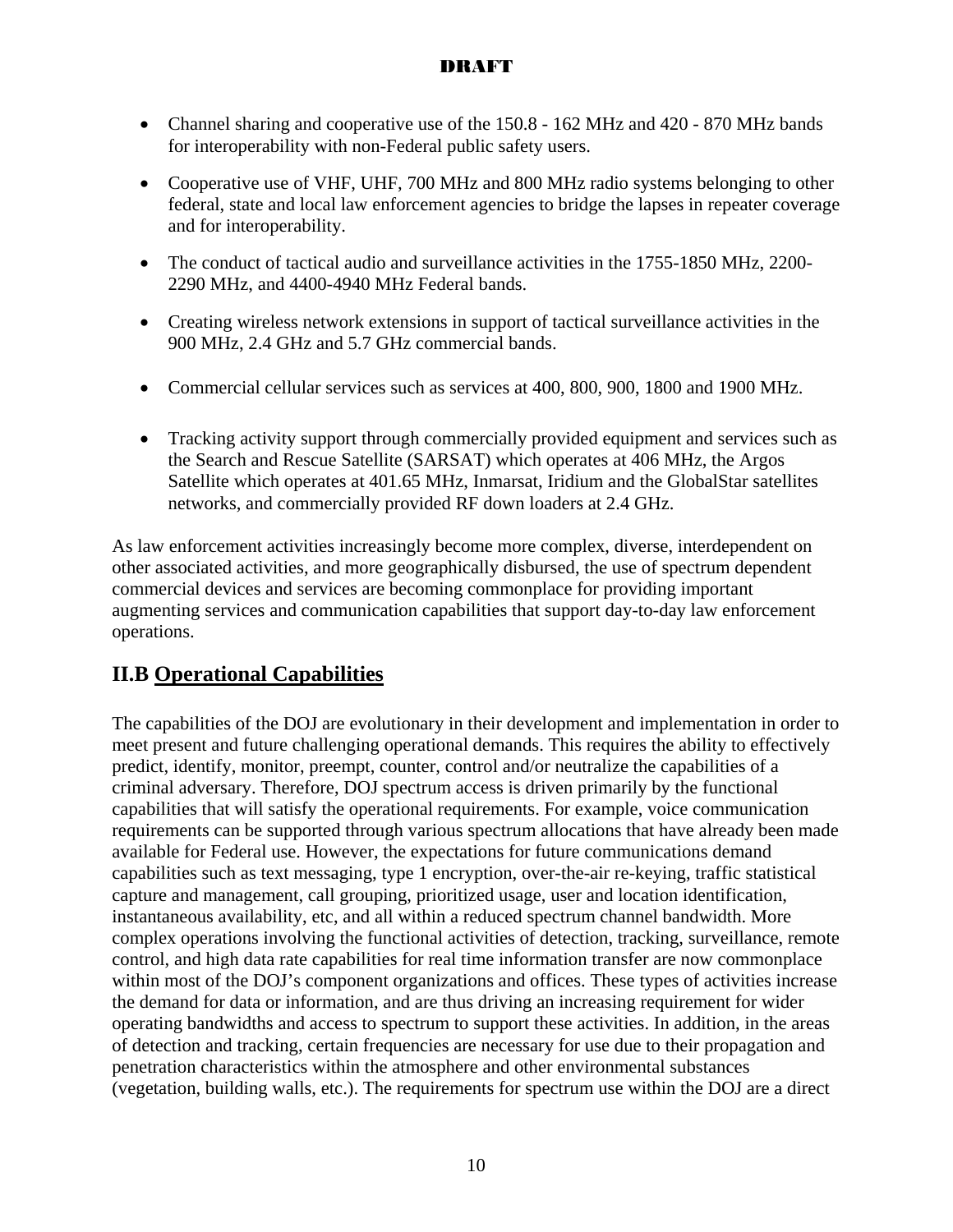- Channel sharing and cooperative use of the 150.8 162 MHz and 420 870 MHz bands for interoperability with non-Federal public safety users.
- Cooperative use of VHF, UHF, 700 MHz and 800 MHz radio systems belonging to other federal, state and local law enforcement agencies to bridge the lapses in repeater coverage and for interoperability.
- The conduct of tactical audio and surveillance activities in the 1755-1850 MHz, 2200-2290 MHz, and 4400-4940 MHz Federal bands.
- Creating wireless network extensions in support of tactical surveillance activities in the 900 MHz, 2.4 GHz and 5.7 GHz commercial bands.
- Commercial cellular services such as services at 400, 800, 900, 1800 and 1900 MHz.
- Tracking activity support through commercially provided equipment and services such as the Search and Rescue Satellite (SARSAT) which operates at 406 MHz, the Argos Satellite which operates at 401.65 MHz, Inmarsat, Iridium and the GlobalStar satellites networks, and commercially provided RF down loaders at 2.4 GHz.

As law enforcement activities increasingly become more complex, diverse, interdependent on other associated activities, and more geographically disbursed, the use of spectrum dependent commercial devices and services are becoming commonplace for providing important augmenting services and communication capabilities that support day-to-day law enforcement operations.

## **II.B Operational Capabilities**

The capabilities of the DOJ are evolutionary in their development and implementation in order to meet present and future challenging operational demands. This requires the ability to effectively predict, identify, monitor, preempt, counter, control and/or neutralize the capabilities of a criminal adversary. Therefore, DOJ spectrum access is driven primarily by the functional capabilities that will satisfy the operational requirements. For example, voice communication requirements can be supported through various spectrum allocations that have already been made available for Federal use. However, the expectations for future communications demand capabilities such as text messaging, type 1 encryption, over-the-air re-keying, traffic statistical capture and management, call grouping, prioritized usage, user and location identification, instantaneous availability, etc, and all within a reduced spectrum channel bandwidth. More complex operations involving the functional activities of detection, tracking, surveillance, remote control, and high data rate capabilities for real time information transfer are now commonplace within most of the DOJ's component organizations and offices. These types of activities increase the demand for data or information, and are thus driving an increasing requirement for wider operating bandwidths and access to spectrum to support these activities. In addition, in the areas of detection and tracking, certain frequencies are necessary for use due to their propagation and penetration characteristics within the atmosphere and other environmental substances (vegetation, building walls, etc.). The requirements for spectrum use within the DOJ are a direct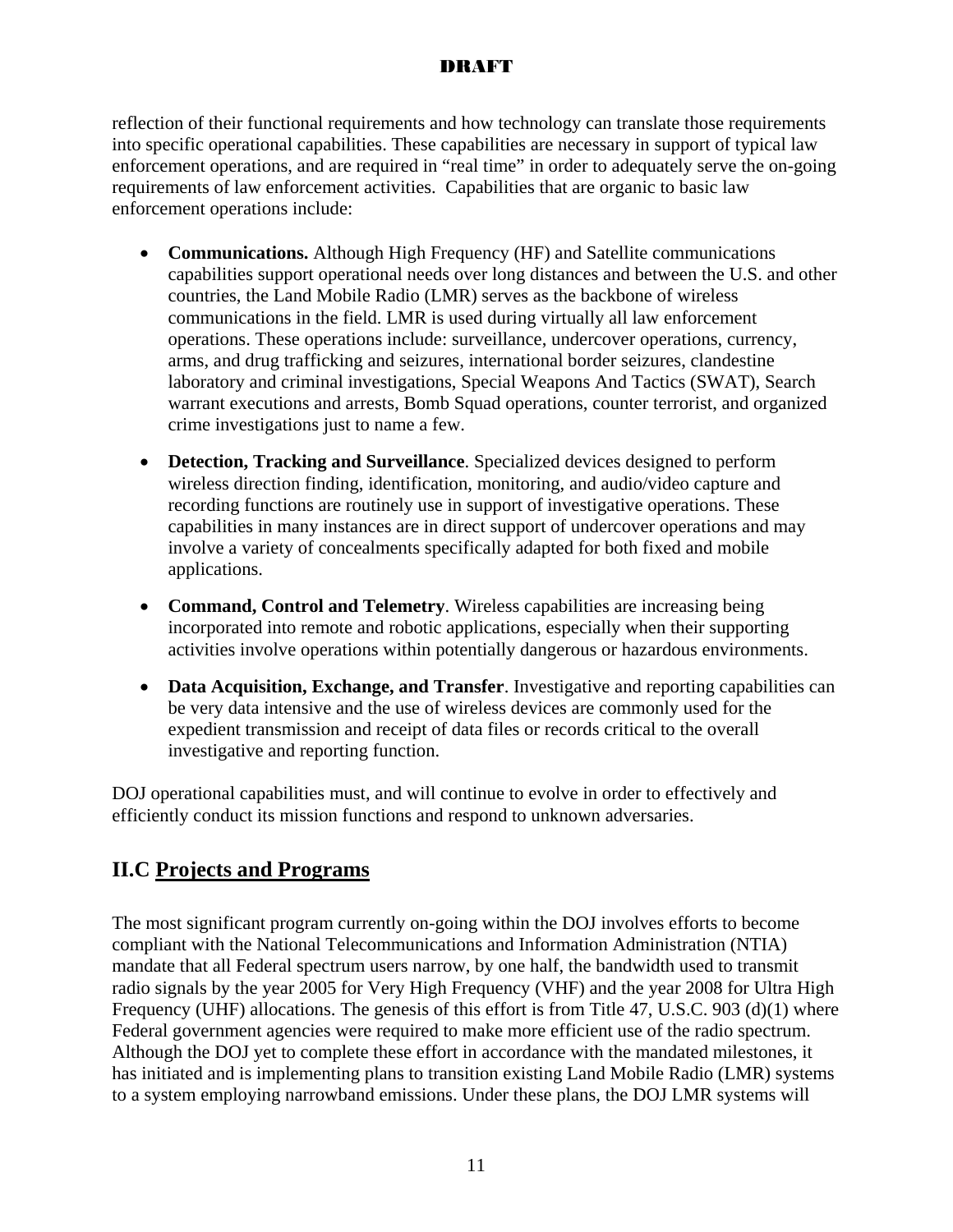reflection of their functional requirements and how technology can translate those requirements into specific operational capabilities. These capabilities are necessary in support of typical law enforcement operations, and are required in "real time" in order to adequately serve the on-going requirements of law enforcement activities. Capabilities that are organic to basic law enforcement operations include:

- **Communications.** Although High Frequency (HF) and Satellite communications capabilities support operational needs over long distances and between the U.S. and other countries, the Land Mobile Radio (LMR) serves as the backbone of wireless communications in the field. LMR is used during virtually all law enforcement operations. These operations include: surveillance, undercover operations, currency, arms, and drug trafficking and seizures, international border seizures, clandestine laboratory and criminal investigations, Special Weapons And Tactics (SWAT), Search warrant executions and arrests, Bomb Squad operations, counter terrorist, and organized crime investigations just to name a few.
- **Detection, Tracking and Surveillance**. Specialized devices designed to perform wireless direction finding, identification, monitoring, and audio/video capture and recording functions are routinely use in support of investigative operations. These capabilities in many instances are in direct support of undercover operations and may involve a variety of concealments specifically adapted for both fixed and mobile applications.
- **Command, Control and Telemetry**. Wireless capabilities are increasing being incorporated into remote and robotic applications, especially when their supporting activities involve operations within potentially dangerous or hazardous environments.
- **Data Acquisition, Exchange, and Transfer**. Investigative and reporting capabilities can be very data intensive and the use of wireless devices are commonly used for the expedient transmission and receipt of data files or records critical to the overall investigative and reporting function.

DOJ operational capabilities must, and will continue to evolve in order to effectively and efficiently conduct its mission functions and respond to unknown adversaries.

## **II.C Projects and Programs**

The most significant program currently on-going within the DOJ involves efforts to become compliant with the National Telecommunications and Information Administration (NTIA) mandate that all Federal spectrum users narrow, by one half, the bandwidth used to transmit radio signals by the year 2005 for Very High Frequency (VHF) and the year 2008 for Ultra High Frequency (UHF) allocations. The genesis of this effort is from Title 47, U.S.C. 903 (d)(1) where Federal government agencies were required to make more efficient use of the radio spectrum. Although the DOJ yet to complete these effort in accordance with the mandated milestones, it has initiated and is implementing plans to transition existing Land Mobile Radio (LMR) systems to a system employing narrowband emissions. Under these plans, the DOJ LMR systems will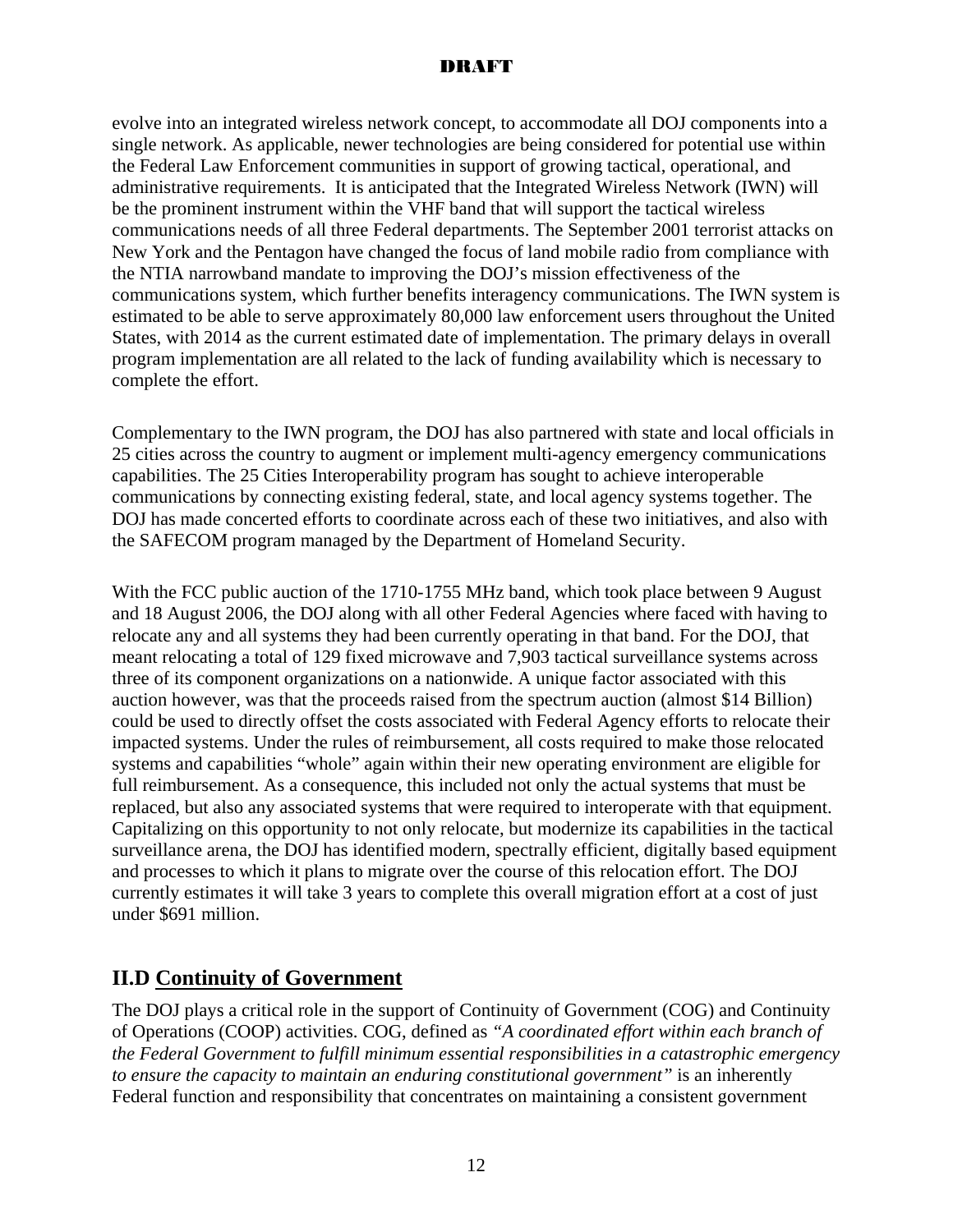evolve into an integrated wireless network concept, to accommodate all DOJ components into a single network. As applicable, newer technologies are being considered for potential use within the Federal Law Enforcement communities in support of growing tactical, operational, and administrative requirements. It is anticipated that the Integrated Wireless Network (IWN) will be the prominent instrument within the VHF band that will support the tactical wireless communications needs of all three Federal departments. The September 2001 terrorist attacks on New York and the Pentagon have changed the focus of land mobile radio from compliance with the NTIA narrowband mandate to improving the DOJ's mission effectiveness of the communications system, which further benefits interagency communications. The IWN system is estimated to be able to serve approximately 80,000 law enforcement users throughout the United States, with 2014 as the current estimated date of implementation. The primary delays in overall program implementation are all related to the lack of funding availability which is necessary to complete the effort.

Complementary to the IWN program, the DOJ has also partnered with state and local officials in 25 cities across the country to augment or implement multi-agency emergency communications capabilities. The 25 Cities Interoperability program has sought to achieve interoperable communications by connecting existing federal, state, and local agency systems together. The DOJ has made concerted efforts to coordinate across each of these two initiatives, and also with the SAFECOM program managed by the Department of Homeland Security.

With the FCC public auction of the 1710-1755 MHz band, which took place between 9 August and 18 August 2006, the DOJ along with all other Federal Agencies where faced with having to relocate any and all systems they had been currently operating in that band. For the DOJ, that meant relocating a total of 129 fixed microwave and 7,903 tactical surveillance systems across three of its component organizations on a nationwide. A unique factor associated with this auction however, was that the proceeds raised from the spectrum auction (almost \$14 Billion) could be used to directly offset the costs associated with Federal Agency efforts to relocate their impacted systems. Under the rules of reimbursement, all costs required to make those relocated systems and capabilities "whole" again within their new operating environment are eligible for full reimbursement. As a consequence, this included not only the actual systems that must be replaced, but also any associated systems that were required to interoperate with that equipment. Capitalizing on this opportunity to not only relocate, but modernize its capabilities in the tactical surveillance arena, the DOJ has identified modern, spectrally efficient, digitally based equipment and processes to which it plans to migrate over the course of this relocation effort. The DOJ currently estimates it will take 3 years to complete this overall migration effort at a cost of just under \$691 million.

## **II.D Continuity of Government**

The DOJ plays a critical role in the support of Continuity of Government (COG) and Continuity of Operations (COOP) activities. COG, defined as *"A coordinated effort within each branch of the Federal Government to fulfill minimum essential responsibilities in a catastrophic emergency to ensure the capacity to maintain an enduring constitutional government"* is an inherently Federal function and responsibility that concentrates on maintaining a consistent government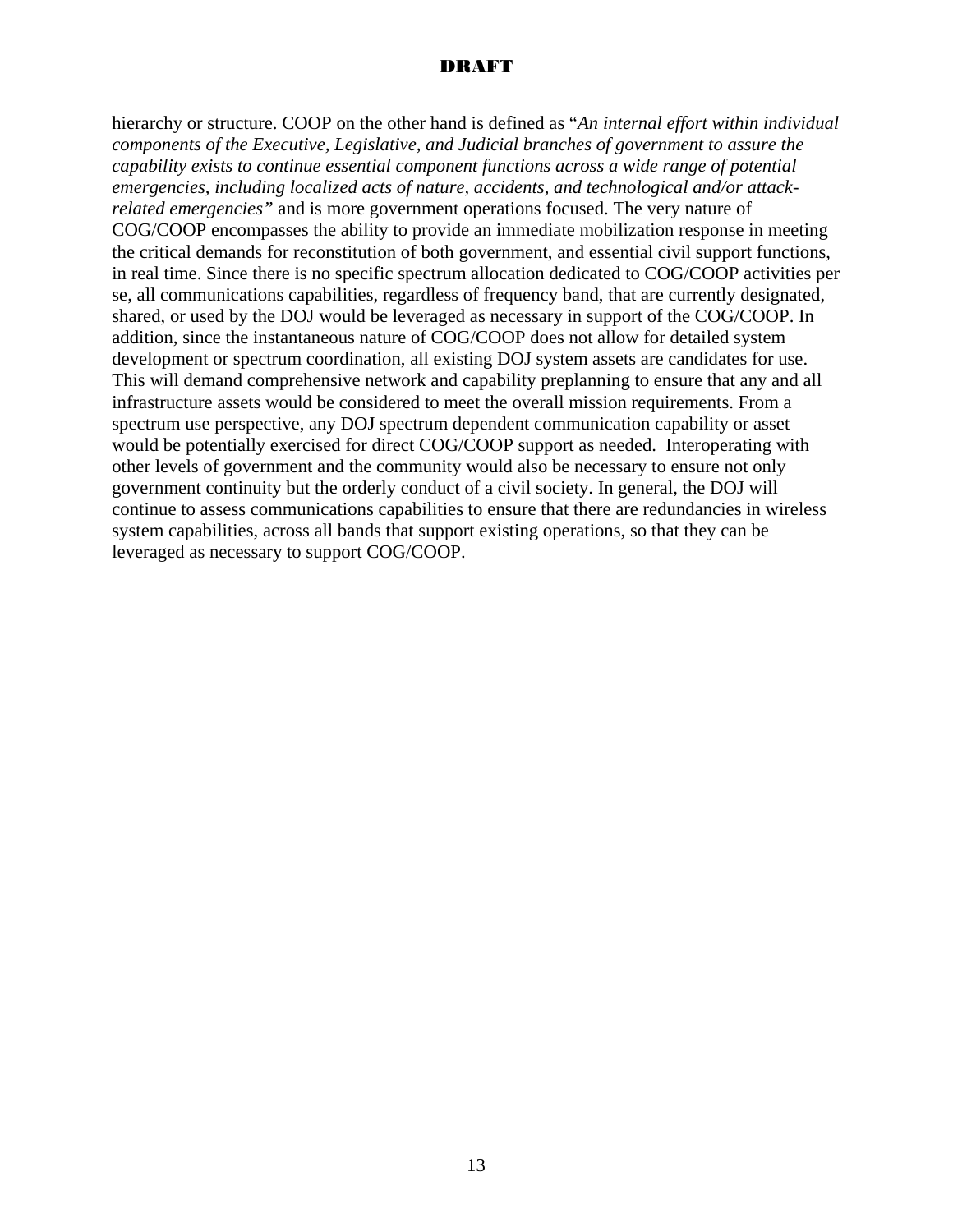hierarchy or structure. COOP on the other hand is defined as "*An internal effort within individual components of the Executive, Legislative, and Judicial branches of government to assure the capability exists to continue essential component functions across a wide range of potential emergencies, including localized acts of nature, accidents, and technological and/or attackrelated emergencies"* and is more government operations focused. The very nature of COG/COOP encompasses the ability to provide an immediate mobilization response in meeting the critical demands for reconstitution of both government, and essential civil support functions, in real time. Since there is no specific spectrum allocation dedicated to COG/COOP activities per se, all communications capabilities, regardless of frequency band, that are currently designated, shared, or used by the DOJ would be leveraged as necessary in support of the COG/COOP. In addition, since the instantaneous nature of COG/COOP does not allow for detailed system development or spectrum coordination, all existing DOJ system assets are candidates for use. This will demand comprehensive network and capability preplanning to ensure that any and all infrastructure assets would be considered to meet the overall mission requirements. From a spectrum use perspective, any DOJ spectrum dependent communication capability or asset would be potentially exercised for direct COG/COOP support as needed. Interoperating with other levels of government and the community would also be necessary to ensure not only government continuity but the orderly conduct of a civil society. In general, the DOJ will continue to assess communications capabilities to ensure that there are redundancies in wireless system capabilities, across all bands that support existing operations, so that they can be leveraged as necessary to support COG/COOP.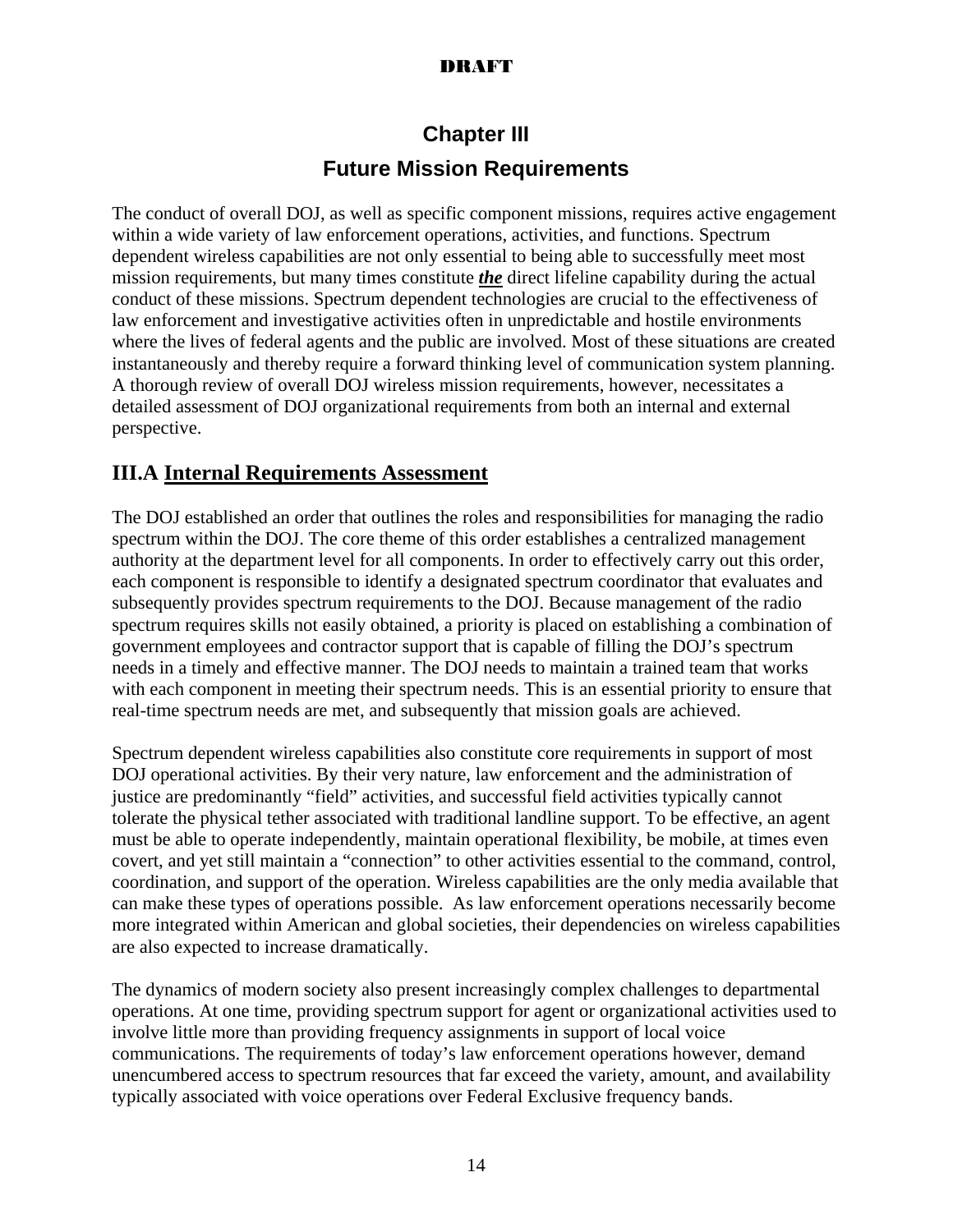# **Chapter III Future Mission Requirements**

The conduct of overall DOJ, as well as specific component missions, requires active engagement within a wide variety of law enforcement operations, activities, and functions. Spectrum dependent wireless capabilities are not only essential to being able to successfully meet most mission requirements, but many times constitute *the* direct lifeline capability during the actual conduct of these missions. Spectrum dependent technologies are crucial to the effectiveness of law enforcement and investigative activities often in unpredictable and hostile environments where the lives of federal agents and the public are involved. Most of these situations are created instantaneously and thereby require a forward thinking level of communication system planning. A thorough review of overall DOJ wireless mission requirements, however, necessitates a detailed assessment of DOJ organizational requirements from both an internal and external perspective.

## **III.A Internal Requirements Assessment**

The DOJ established an order that outlines the roles and responsibilities for managing the radio spectrum within the DOJ. The core theme of this order establishes a centralized management authority at the department level for all components. In order to effectively carry out this order, each component is responsible to identify a designated spectrum coordinator that evaluates and subsequently provides spectrum requirements to the DOJ. Because management of the radio spectrum requires skills not easily obtained, a priority is placed on establishing a combination of government employees and contractor support that is capable of filling the DOJ's spectrum needs in a timely and effective manner. The DOJ needs to maintain a trained team that works with each component in meeting their spectrum needs. This is an essential priority to ensure that real-time spectrum needs are met, and subsequently that mission goals are achieved.

Spectrum dependent wireless capabilities also constitute core requirements in support of most DOJ operational activities. By their very nature, law enforcement and the administration of justice are predominantly "field" activities, and successful field activities typically cannot tolerate the physical tether associated with traditional landline support. To be effective, an agent must be able to operate independently, maintain operational flexibility, be mobile, at times even covert, and yet still maintain a "connection" to other activities essential to the command, control, coordination, and support of the operation. Wireless capabilities are the only media available that can make these types of operations possible. As law enforcement operations necessarily become more integrated within American and global societies, their dependencies on wireless capabilities are also expected to increase dramatically.

The dynamics of modern society also present increasingly complex challenges to departmental operations. At one time, providing spectrum support for agent or organizational activities used to involve little more than providing frequency assignments in support of local voice communications. The requirements of today's law enforcement operations however, demand unencumbered access to spectrum resources that far exceed the variety, amount, and availability typically associated with voice operations over Federal Exclusive frequency bands.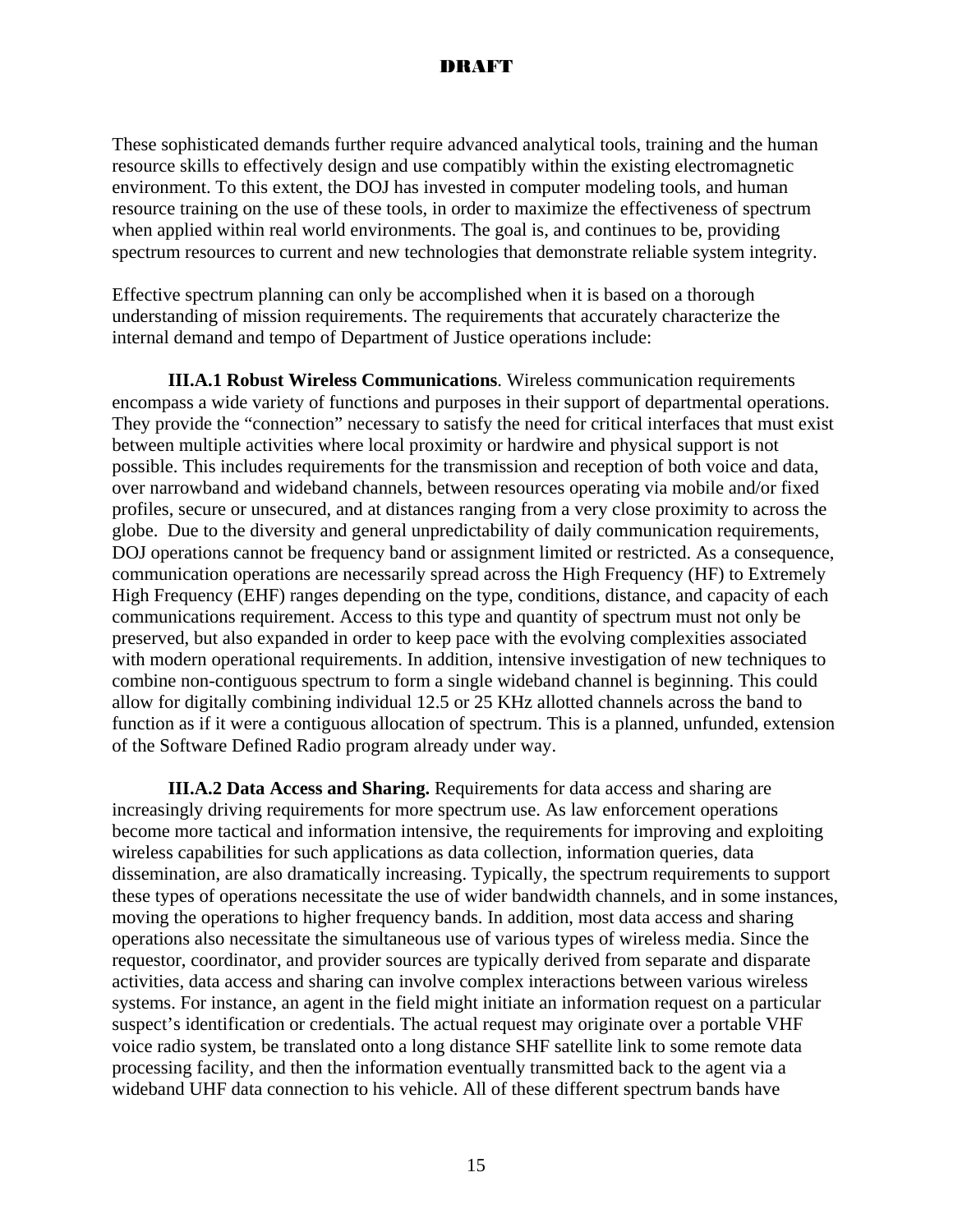These sophisticated demands further require advanced analytical tools, training and the human resource skills to effectively design and use compatibly within the existing electromagnetic environment. To this extent, the DOJ has invested in computer modeling tools, and human resource training on the use of these tools, in order to maximize the effectiveness of spectrum when applied within real world environments. The goal is, and continues to be, providing spectrum resources to current and new technologies that demonstrate reliable system integrity.

Effective spectrum planning can only be accomplished when it is based on a thorough understanding of mission requirements. The requirements that accurately characterize the internal demand and tempo of Department of Justice operations include:

**III.A.1 Robust Wireless Communications**. Wireless communication requirements encompass a wide variety of functions and purposes in their support of departmental operations. They provide the "connection" necessary to satisfy the need for critical interfaces that must exist between multiple activities where local proximity or hardwire and physical support is not possible. This includes requirements for the transmission and reception of both voice and data, over narrowband and wideband channels, between resources operating via mobile and/or fixed profiles, secure or unsecured, and at distances ranging from a very close proximity to across the globe. Due to the diversity and general unpredictability of daily communication requirements, DOJ operations cannot be frequency band or assignment limited or restricted. As a consequence, communication operations are necessarily spread across the High Frequency (HF) to Extremely High Frequency (EHF) ranges depending on the type, conditions, distance, and capacity of each communications requirement. Access to this type and quantity of spectrum must not only be preserved, but also expanded in order to keep pace with the evolving complexities associated with modern operational requirements. In addition, intensive investigation of new techniques to combine non-contiguous spectrum to form a single wideband channel is beginning. This could allow for digitally combining individual 12.5 or 25 KHz allotted channels across the band to function as if it were a contiguous allocation of spectrum. This is a planned, unfunded, extension of the Software Defined Radio program already under way.

 **III.A.2 Data Access and Sharing.** Requirements for data access and sharing are increasingly driving requirements for more spectrum use. As law enforcement operations become more tactical and information intensive, the requirements for improving and exploiting wireless capabilities for such applications as data collection, information queries, data dissemination, are also dramatically increasing. Typically, the spectrum requirements to support these types of operations necessitate the use of wider bandwidth channels, and in some instances, moving the operations to higher frequency bands. In addition, most data access and sharing operations also necessitate the simultaneous use of various types of wireless media. Since the requestor, coordinator, and provider sources are typically derived from separate and disparate activities, data access and sharing can involve complex interactions between various wireless systems. For instance, an agent in the field might initiate an information request on a particular suspect's identification or credentials. The actual request may originate over a portable VHF voice radio system, be translated onto a long distance SHF satellite link to some remote data processing facility, and then the information eventually transmitted back to the agent via a wideband UHF data connection to his vehicle. All of these different spectrum bands have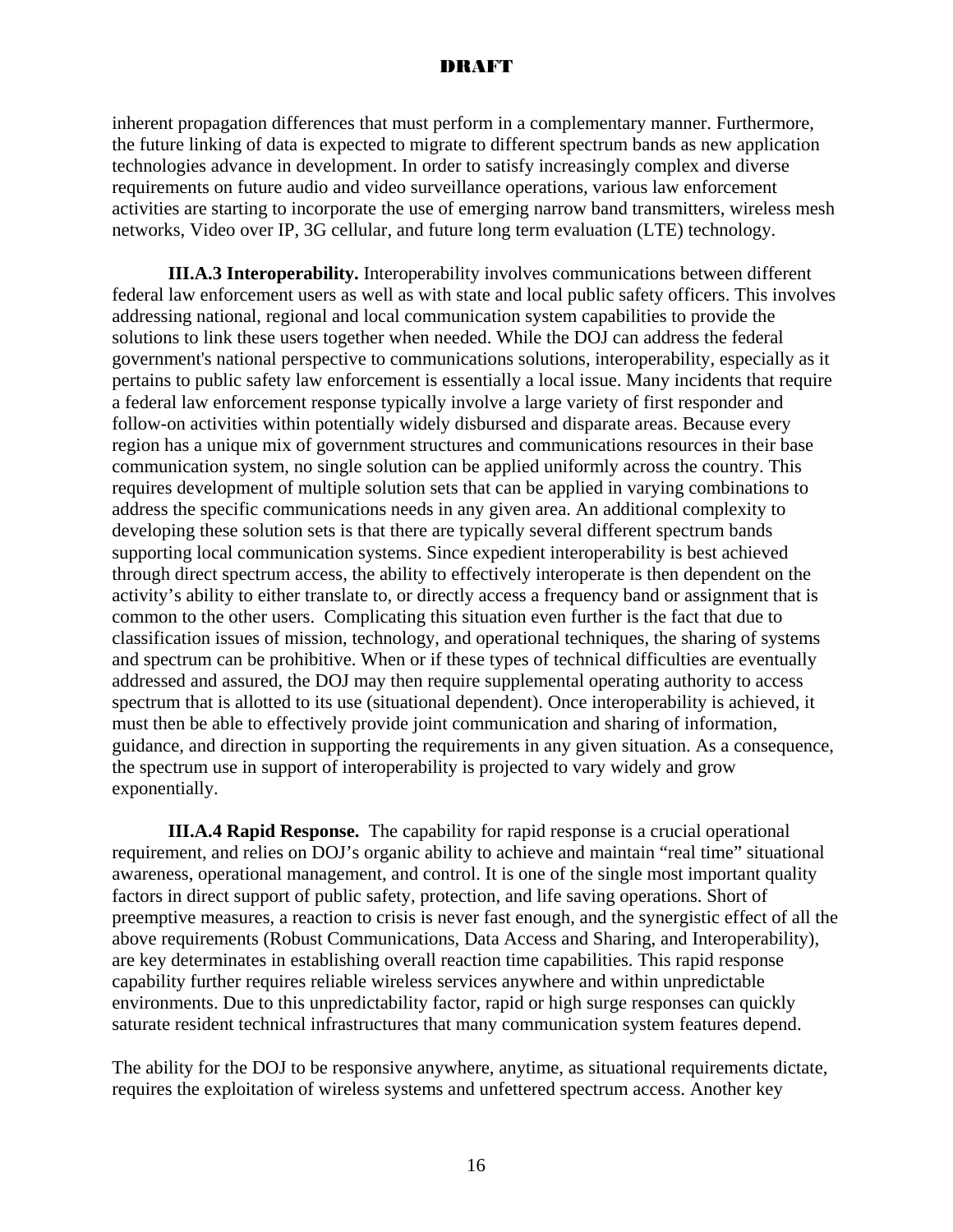inherent propagation differences that must perform in a complementary manner. Furthermore, the future linking of data is expected to migrate to different spectrum bands as new application technologies advance in development. In order to satisfy increasingly complex and diverse requirements on future audio and video surveillance operations, various law enforcement activities are starting to incorporate the use of emerging narrow band transmitters, wireless mesh networks, Video over IP, 3G cellular, and future long term evaluation (LTE) technology.

**III.A.3 Interoperability.** Interoperability involves communications between different federal law enforcement users as well as with state and local public safety officers. This involves addressing national, regional and local communication system capabilities to provide the solutions to link these users together when needed. While the DOJ can address the federal government's national perspective to communications solutions, interoperability, especially as it pertains to public safety law enforcement is essentially a local issue. Many incidents that require a federal law enforcement response typically involve a large variety of first responder and follow-on activities within potentially widely disbursed and disparate areas. Because every region has a unique mix of government structures and communications resources in their base communication system, no single solution can be applied uniformly across the country. This requires development of multiple solution sets that can be applied in varying combinations to address the specific communications needs in any given area. An additional complexity to developing these solution sets is that there are typically several different spectrum bands supporting local communication systems. Since expedient interoperability is best achieved through direct spectrum access, the ability to effectively interoperate is then dependent on the activity's ability to either translate to, or directly access a frequency band or assignment that is common to the other users. Complicating this situation even further is the fact that due to classification issues of mission, technology, and operational techniques, the sharing of systems and spectrum can be prohibitive. When or if these types of technical difficulties are eventually addressed and assured, the DOJ may then require supplemental operating authority to access spectrum that is allotted to its use (situational dependent). Once interoperability is achieved, it must then be able to effectively provide joint communication and sharing of information, guidance, and direction in supporting the requirements in any given situation. As a consequence, the spectrum use in support of interoperability is projected to vary widely and grow exponentially.

**III.A.4 Rapid Response.** The capability for rapid response is a crucial operational requirement, and relies on DOJ's organic ability to achieve and maintain "real time" situational awareness, operational management, and control. It is one of the single most important quality factors in direct support of public safety, protection, and life saving operations. Short of preemptive measures, a reaction to crisis is never fast enough, and the synergistic effect of all the above requirements (Robust Communications, Data Access and Sharing, and Interoperability), are key determinates in establishing overall reaction time capabilities. This rapid response capability further requires reliable wireless services anywhere and within unpredictable environments. Due to this unpredictability factor, rapid or high surge responses can quickly saturate resident technical infrastructures that many communication system features depend.

The ability for the DOJ to be responsive anywhere, anytime, as situational requirements dictate, requires the exploitation of wireless systems and unfettered spectrum access. Another key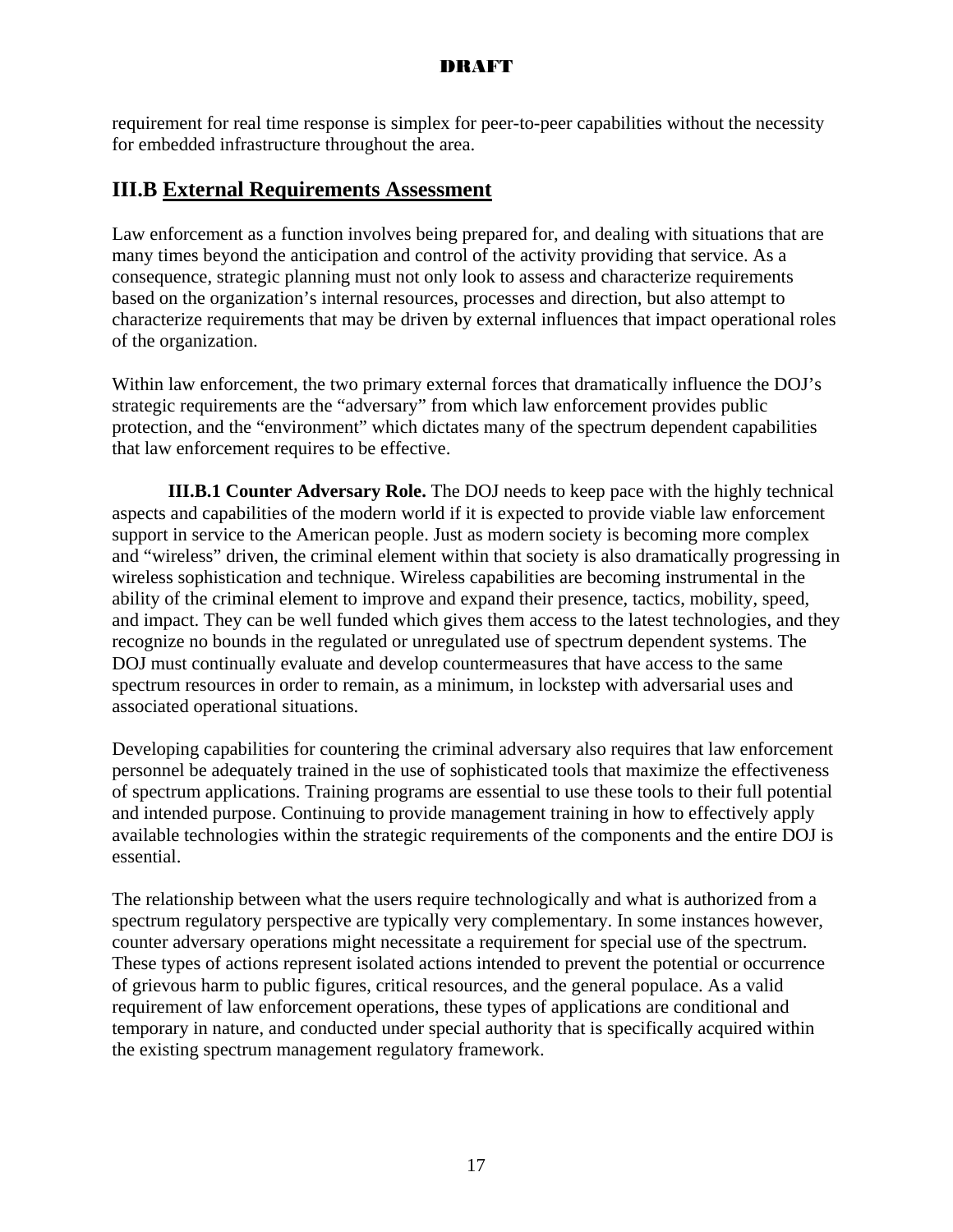requirement for real time response is simplex for peer-to-peer capabilities without the necessity for embedded infrastructure throughout the area.

#### **III.B External Requirements Assessment**

Law enforcement as a function involves being prepared for, and dealing with situations that are many times beyond the anticipation and control of the activity providing that service. As a consequence, strategic planning must not only look to assess and characterize requirements based on the organization's internal resources, processes and direction, but also attempt to characterize requirements that may be driven by external influences that impact operational roles of the organization.

Within law enforcement, the two primary external forces that dramatically influence the DOJ's strategic requirements are the "adversary" from which law enforcement provides public protection, and the "environment" which dictates many of the spectrum dependent capabilities that law enforcement requires to be effective.

**III.B.1 Counter Adversary Role.** The DOJ needs to keep pace with the highly technical aspects and capabilities of the modern world if it is expected to provide viable law enforcement support in service to the American people. Just as modern society is becoming more complex and "wireless" driven, the criminal element within that society is also dramatically progressing in wireless sophistication and technique. Wireless capabilities are becoming instrumental in the ability of the criminal element to improve and expand their presence, tactics, mobility, speed, and impact. They can be well funded which gives them access to the latest technologies, and they recognize no bounds in the regulated or unregulated use of spectrum dependent systems. The DOJ must continually evaluate and develop countermeasures that have access to the same spectrum resources in order to remain, as a minimum, in lockstep with adversarial uses and associated operational situations.

Developing capabilities for countering the criminal adversary also requires that law enforcement personnel be adequately trained in the use of sophisticated tools that maximize the effectiveness of spectrum applications. Training programs are essential to use these tools to their full potential and intended purpose. Continuing to provide management training in how to effectively apply available technologies within the strategic requirements of the components and the entire DOJ is essential.

The relationship between what the users require technologically and what is authorized from a spectrum regulatory perspective are typically very complementary. In some instances however, counter adversary operations might necessitate a requirement for special use of the spectrum. These types of actions represent isolated actions intended to prevent the potential or occurrence of grievous harm to public figures, critical resources, and the general populace. As a valid requirement of law enforcement operations, these types of applications are conditional and temporary in nature, and conducted under special authority that is specifically acquired within the existing spectrum management regulatory framework.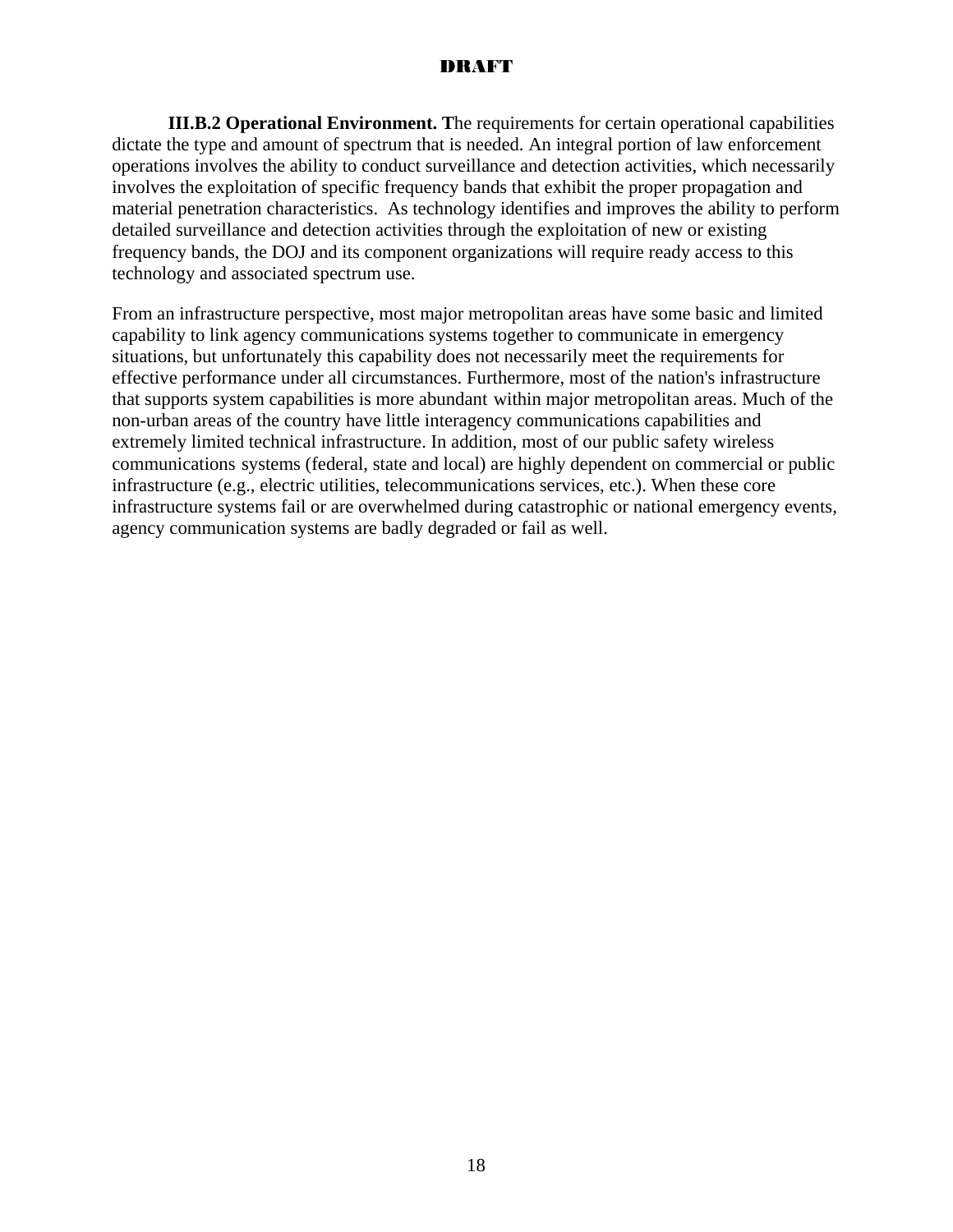**III.B.2 Operational Environment. T**he requirements for certain operational capabilities dictate the type and amount of spectrum that is needed. An integral portion of law enforcement operations involves the ability to conduct surveillance and detection activities, which necessarily involves the exploitation of specific frequency bands that exhibit the proper propagation and material penetration characteristics. As technology identifies and improves the ability to perform detailed surveillance and detection activities through the exploitation of new or existing frequency bands, the DOJ and its component organizations will require ready access to this technology and associated spectrum use.

From an infrastructure perspective, most major metropolitan areas have some basic and limited capability to link agency communications systems together to communicate in emergency situations, but unfortunately this capability does not necessarily meet the requirements for effective performance under all circumstances. Furthermore, most of the nation's infrastructure that supports system capabilities is more abundant within major metropolitan areas. Much of the non-urban areas of the country have little interagency communications capabilities and extremely limited technical infrastructure. In addition, most of our public safety wireless communications systems (federal, state and local) are highly dependent on commercial or public infrastructure (e.g., electric utilities, telecommunications services, etc.). When these core infrastructure systems fail or are overwhelmed during catastrophic or national emergency events, agency communication systems are badly degraded or fail as well.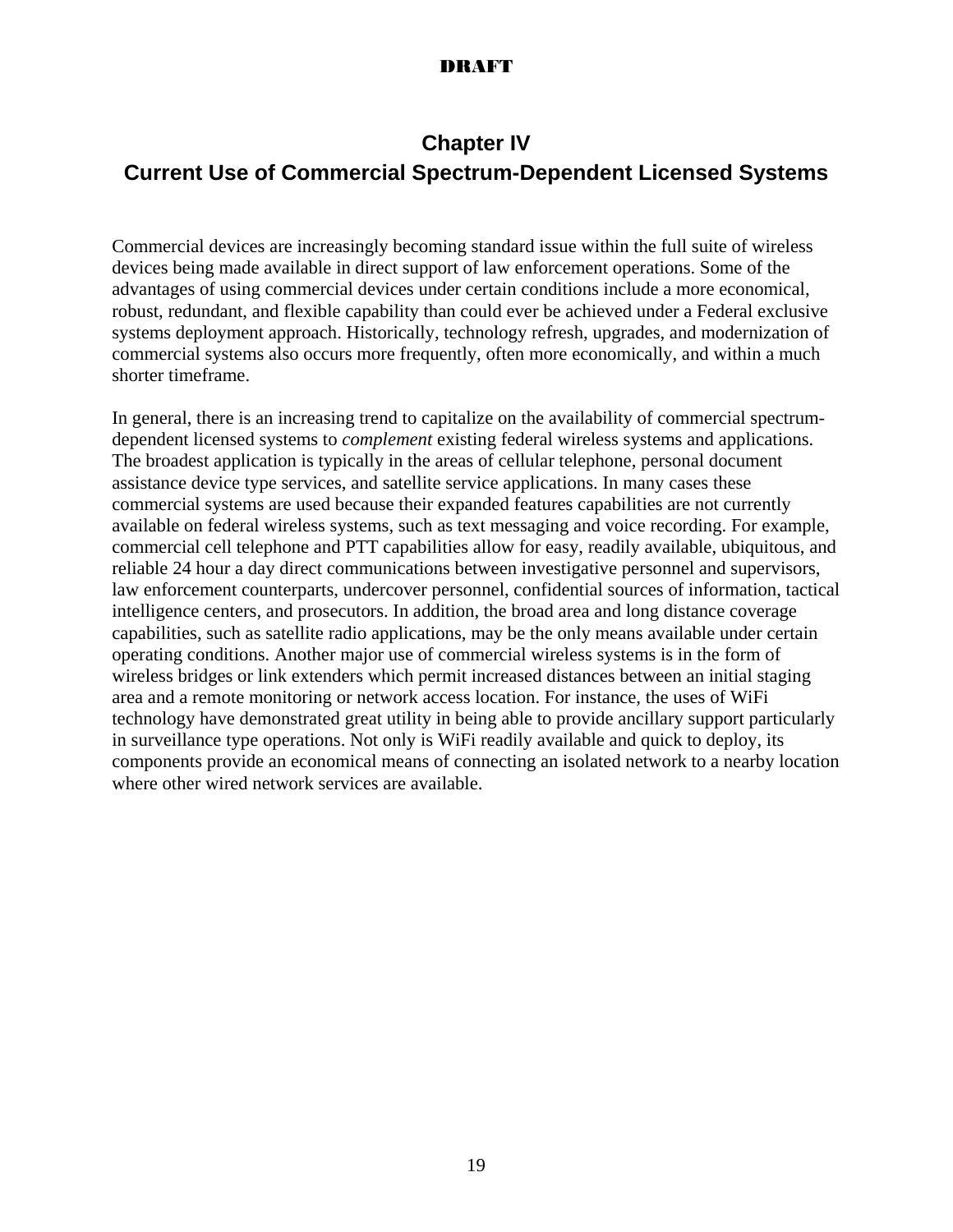### **Chapter IV**

## **Current Use of Commercial Spectrum-Dependent Licensed Systems**

Commercial devices are increasingly becoming standard issue within the full suite of wireless devices being made available in direct support of law enforcement operations. Some of the advantages of using commercial devices under certain conditions include a more economical, robust, redundant, and flexible capability than could ever be achieved under a Federal exclusive systems deployment approach. Historically, technology refresh, upgrades, and modernization of commercial systems also occurs more frequently, often more economically, and within a much shorter timeframe.

In general, there is an increasing trend to capitalize on the availability of commercial spectrumdependent licensed systems to *complement* existing federal wireless systems and applications. The broadest application is typically in the areas of cellular telephone, personal document assistance device type services, and satellite service applications. In many cases these commercial systems are used because their expanded features capabilities are not currently available on federal wireless systems, such as text messaging and voice recording. For example, commercial cell telephone and PTT capabilities allow for easy, readily available, ubiquitous, and reliable 24 hour a day direct communications between investigative personnel and supervisors, law enforcement counterparts, undercover personnel, confidential sources of information, tactical intelligence centers, and prosecutors. In addition, the broad area and long distance coverage capabilities, such as satellite radio applications, may be the only means available under certain operating conditions. Another major use of commercial wireless systems is in the form of wireless bridges or link extenders which permit increased distances between an initial staging area and a remote monitoring or network access location. For instance, the uses of WiFi technology have demonstrated great utility in being able to provide ancillary support particularly in surveillance type operations. Not only is WiFi readily available and quick to deploy, its components provide an economical means of connecting an isolated network to a nearby location where other wired network services are available.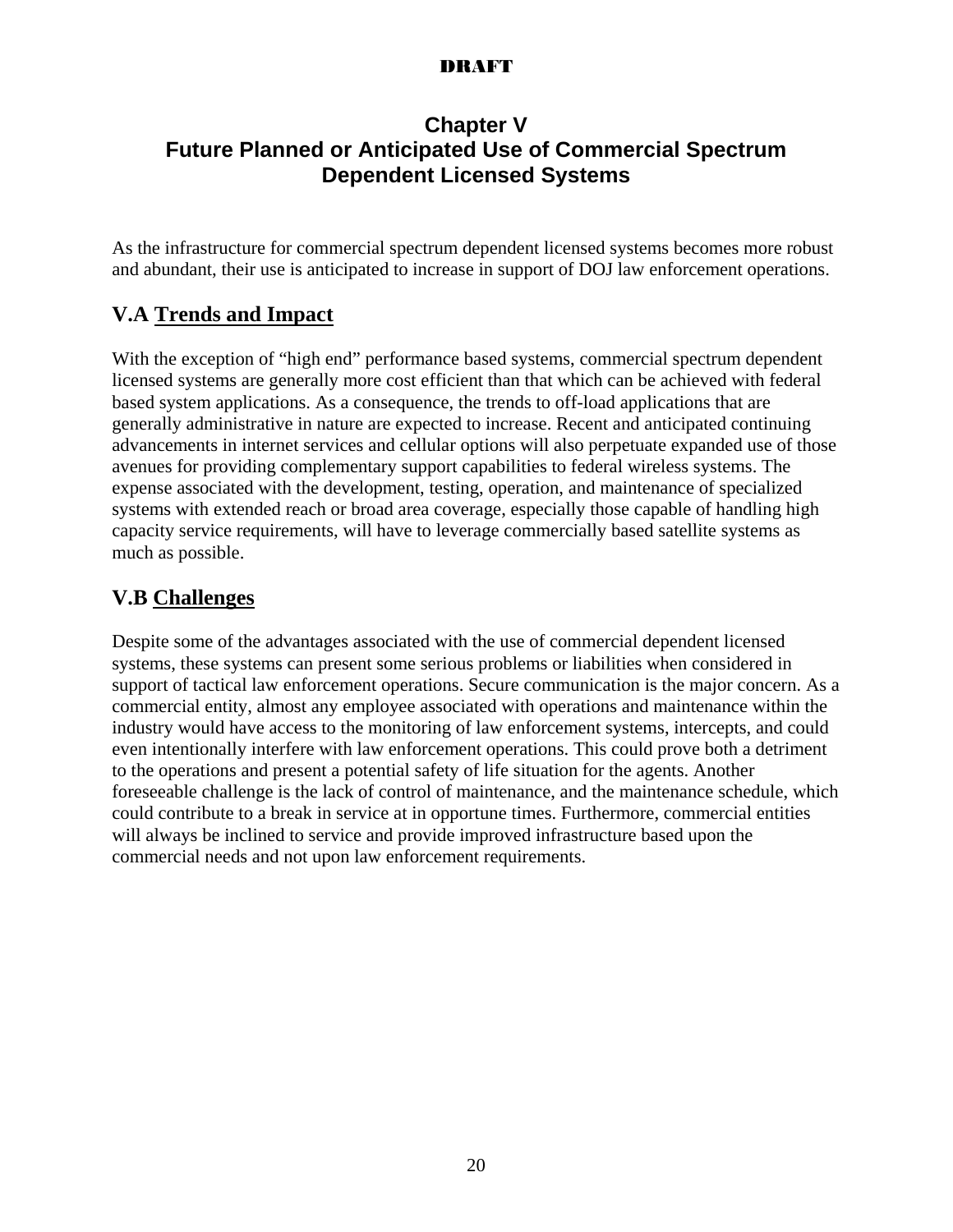## **Chapter V Future Planned or Anticipated Use of Commercial Spectrum Dependent Licensed Systems**

As the infrastructure for commercial spectrum dependent licensed systems becomes more robust and abundant, their use is anticipated to increase in support of DOJ law enforcement operations.

## **V.A Trends and Impact**

With the exception of "high end" performance based systems, commercial spectrum dependent licensed systems are generally more cost efficient than that which can be achieved with federal based system applications. As a consequence, the trends to off-load applications that are generally administrative in nature are expected to increase. Recent and anticipated continuing advancements in internet services and cellular options will also perpetuate expanded use of those avenues for providing complementary support capabilities to federal wireless systems. The expense associated with the development, testing, operation, and maintenance of specialized systems with extended reach or broad area coverage, especially those capable of handling high capacity service requirements, will have to leverage commercially based satellite systems as much as possible.

## **V.B Challenges**

Despite some of the advantages associated with the use of commercial dependent licensed systems, these systems can present some serious problems or liabilities when considered in support of tactical law enforcement operations. Secure communication is the major concern. As a commercial entity, almost any employee associated with operations and maintenance within the industry would have access to the monitoring of law enforcement systems, intercepts, and could even intentionally interfere with law enforcement operations. This could prove both a detriment to the operations and present a potential safety of life situation for the agents. Another foreseeable challenge is the lack of control of maintenance, and the maintenance schedule, which could contribute to a break in service at in opportune times. Furthermore, commercial entities will always be inclined to service and provide improved infrastructure based upon the commercial needs and not upon law enforcement requirements.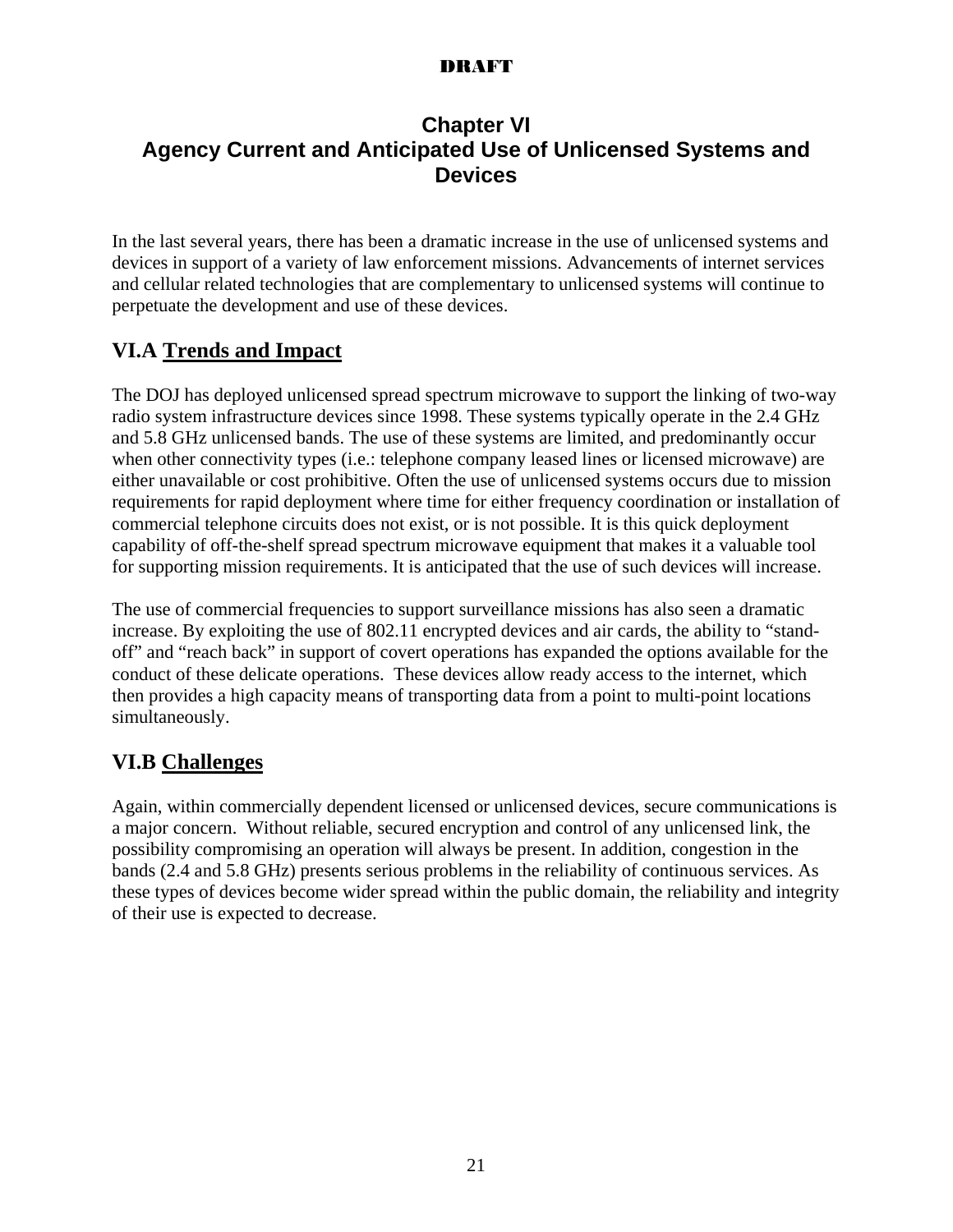## **Chapter VI Agency Current and Anticipated Use of Unlicensed Systems and Devices**

In the last several years, there has been a dramatic increase in the use of unlicensed systems and devices in support of a variety of law enforcement missions. Advancements of internet services and cellular related technologies that are complementary to unlicensed systems will continue to perpetuate the development and use of these devices.

## **VI.A Trends and Impact**

The DOJ has deployed unlicensed spread spectrum microwave to support the linking of two-way radio system infrastructure devices since 1998. These systems typically operate in the 2.4 GHz and 5.8 GHz unlicensed bands. The use of these systems are limited, and predominantly occur when other connectivity types (i.e.: telephone company leased lines or licensed microwave) are either unavailable or cost prohibitive. Often the use of unlicensed systems occurs due to mission requirements for rapid deployment where time for either frequency coordination or installation of commercial telephone circuits does not exist, or is not possible. It is this quick deployment capability of off-the-shelf spread spectrum microwave equipment that makes it a valuable tool for supporting mission requirements. It is anticipated that the use of such devices will increase.

The use of commercial frequencies to support surveillance missions has also seen a dramatic increase. By exploiting the use of 802.11 encrypted devices and air cards, the ability to "standoff" and "reach back" in support of covert operations has expanded the options available for the conduct of these delicate operations. These devices allow ready access to the internet, which then provides a high capacity means of transporting data from a point to multi-point locations simultaneously.

## **VI.B Challenges**

Again, within commercially dependent licensed or unlicensed devices, secure communications is a major concern. Without reliable, secured encryption and control of any unlicensed link, the possibility compromising an operation will always be present. In addition, congestion in the bands (2.4 and 5.8 GHz) presents serious problems in the reliability of continuous services. As these types of devices become wider spread within the public domain, the reliability and integrity of their use is expected to decrease.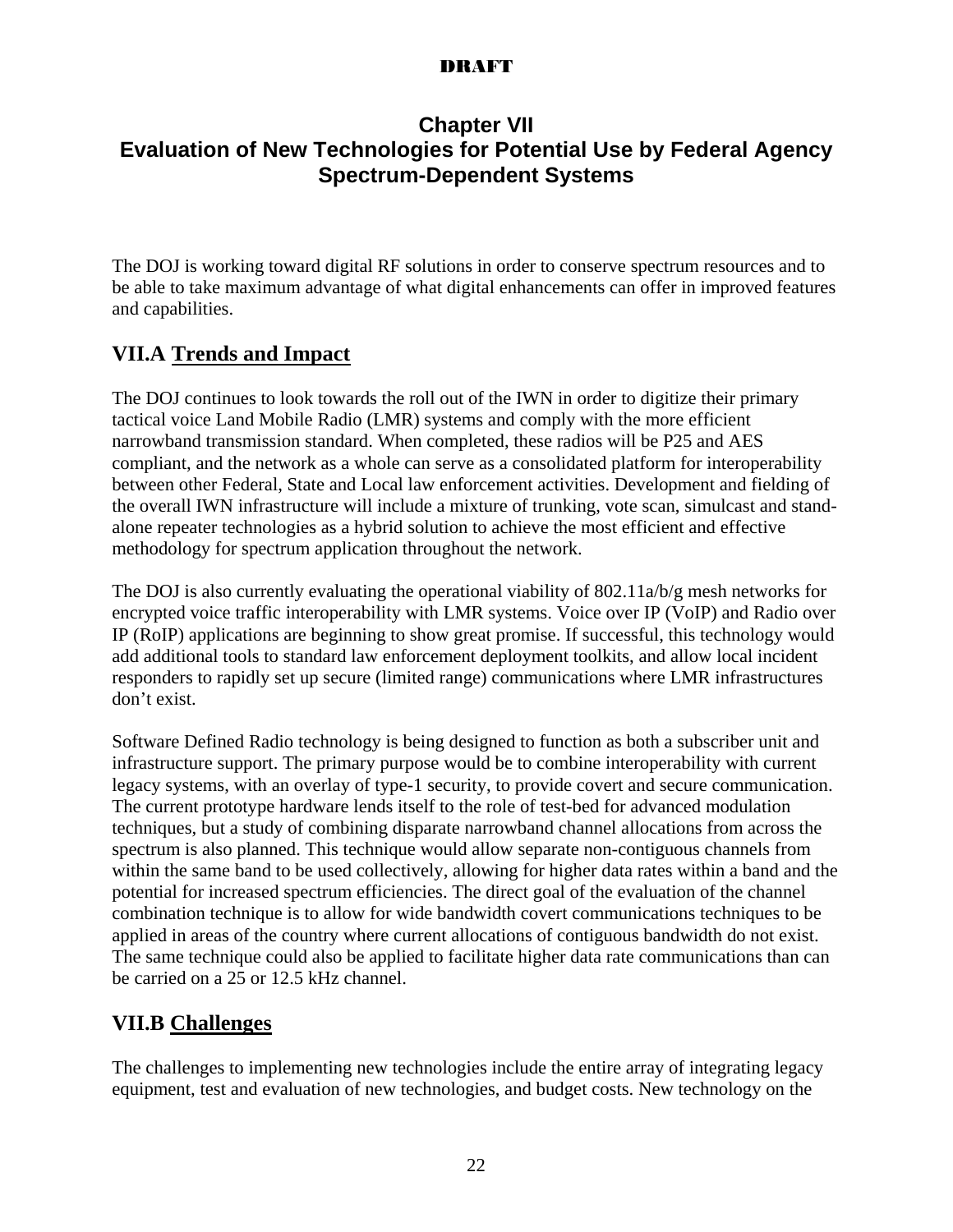## **Chapter VII**

## **Evaluation of New Technologies for Potential Use by Federal Agency Spectrum-Dependent Systems**

The DOJ is working toward digital RF solutions in order to conserve spectrum resources and to be able to take maximum advantage of what digital enhancements can offer in improved features and capabilities.

## **VII.A Trends and Impact**

The DOJ continues to look towards the roll out of the IWN in order to digitize their primary tactical voice Land Mobile Radio (LMR) systems and comply with the more efficient narrowband transmission standard. When completed, these radios will be P25 and AES compliant, and the network as a whole can serve as a consolidated platform for interoperability between other Federal, State and Local law enforcement activities. Development and fielding of the overall IWN infrastructure will include a mixture of trunking, vote scan, simulcast and standalone repeater technologies as a hybrid solution to achieve the most efficient and effective methodology for spectrum application throughout the network.

The DOJ is also currently evaluating the operational viability of  $802.11a/b/g$  mesh networks for encrypted voice traffic interoperability with LMR systems. Voice over IP (VoIP) and Radio over IP (RoIP) applications are beginning to show great promise. If successful, this technology would add additional tools to standard law enforcement deployment toolkits, and allow local incident responders to rapidly set up secure (limited range) communications where LMR infrastructures don't exist.

Software Defined Radio technology is being designed to function as both a subscriber unit and infrastructure support. The primary purpose would be to combine interoperability with current legacy systems, with an overlay of type-1 security, to provide covert and secure communication. The current prototype hardware lends itself to the role of test-bed for advanced modulation techniques, but a study of combining disparate narrowband channel allocations from across the spectrum is also planned. This technique would allow separate non-contiguous channels from within the same band to be used collectively, allowing for higher data rates within a band and the potential for increased spectrum efficiencies. The direct goal of the evaluation of the channel combination technique is to allow for wide bandwidth covert communications techniques to be applied in areas of the country where current allocations of contiguous bandwidth do not exist. The same technique could also be applied to facilitate higher data rate communications than can be carried on a 25 or 12.5 kHz channel.

## **VII.B Challenges**

The challenges to implementing new technologies include the entire array of integrating legacy equipment, test and evaluation of new technologies, and budget costs. New technology on the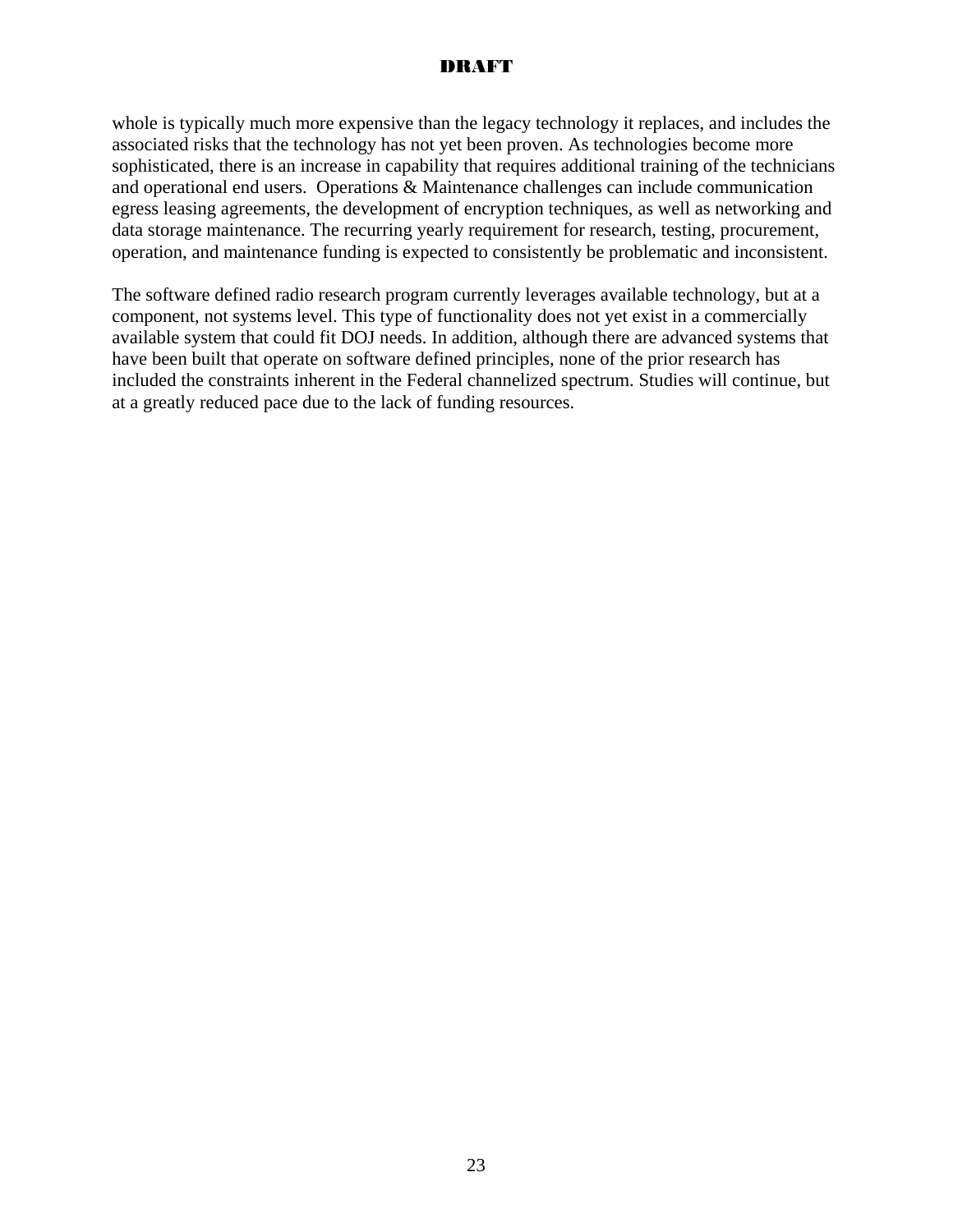whole is typically much more expensive than the legacy technology it replaces, and includes the associated risks that the technology has not yet been proven. As technologies become more sophisticated, there is an increase in capability that requires additional training of the technicians and operational end users. Operations & Maintenance challenges can include communication egress leasing agreements, the development of encryption techniques, as well as networking and data storage maintenance. The recurring yearly requirement for research, testing, procurement, operation, and maintenance funding is expected to consistently be problematic and inconsistent.

The software defined radio research program currently leverages available technology, but at a component, not systems level. This type of functionality does not yet exist in a commercially available system that could fit DOJ needs. In addition, although there are advanced systems that have been built that operate on software defined principles, none of the prior research has included the constraints inherent in the Federal channelized spectrum. Studies will continue, but at a greatly reduced pace due to the lack of funding resources.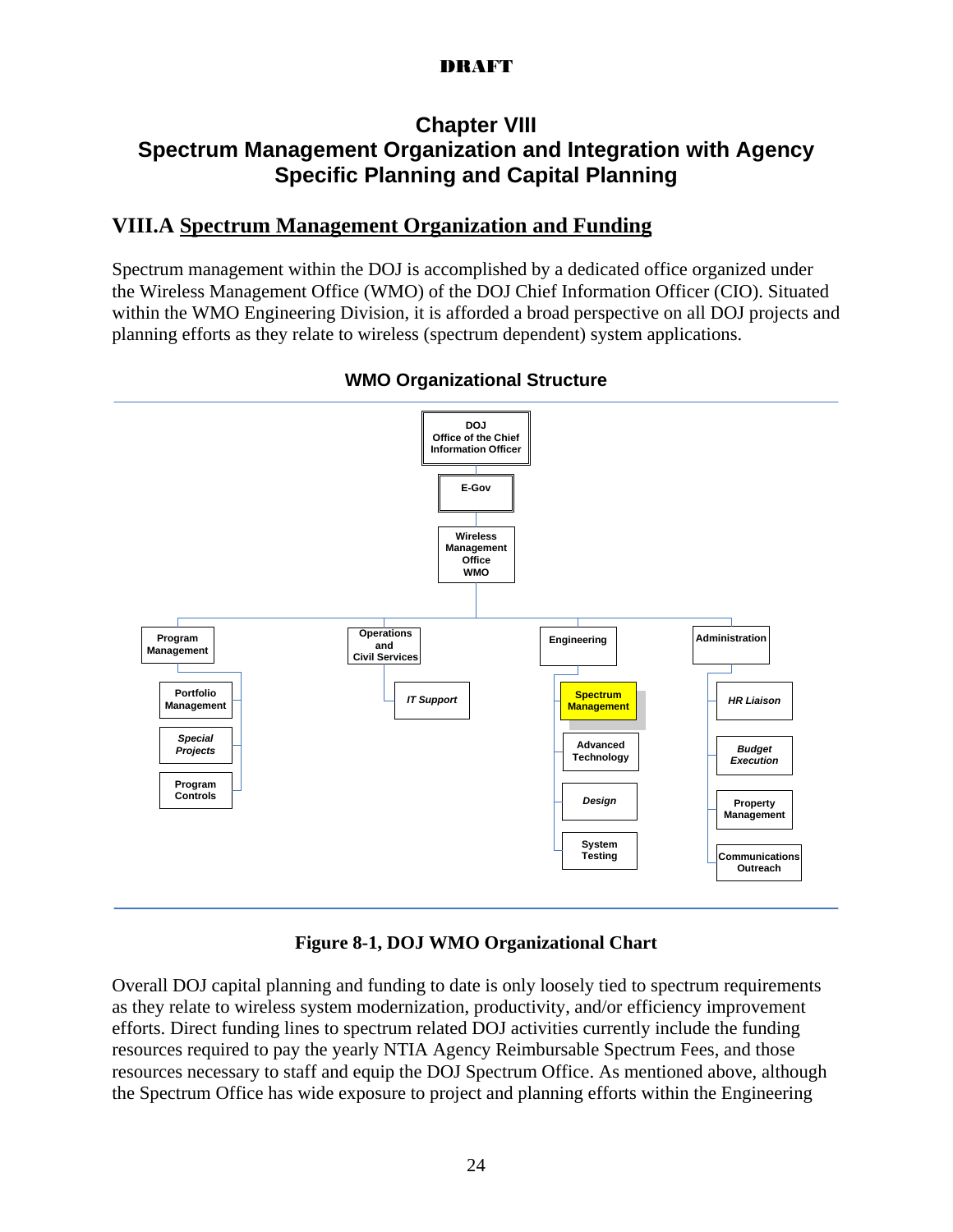## **Chapter VIII Spectrum Management Organization and Integration with Agency Specific Planning and Capital Planning**

## **VIII.A Spectrum Management Organization and Funding**

Spectrum management within the DOJ is accomplished by a dedicated office organized under the Wireless Management Office (WMO) of the DOJ Chief Information Officer (CIO). Situated within the WMO Engineering Division, it is afforded a broad perspective on all DOJ projects and planning efforts as they relate to wireless (spectrum dependent) system applications.



#### **WMO Organizational Structure**

**Figure 8-1, DOJ WMO Organizational Chart** 

Overall DOJ capital planning and funding to date is only loosely tied to spectrum requirements as they relate to wireless system modernization, productivity, and/or efficiency improvement efforts. Direct funding lines to spectrum related DOJ activities currently include the funding resources required to pay the yearly NTIA Agency Reimbursable Spectrum Fees, and those resources necessary to staff and equip the DOJ Spectrum Office. As mentioned above, although the Spectrum Office has wide exposure to project and planning efforts within the Engineering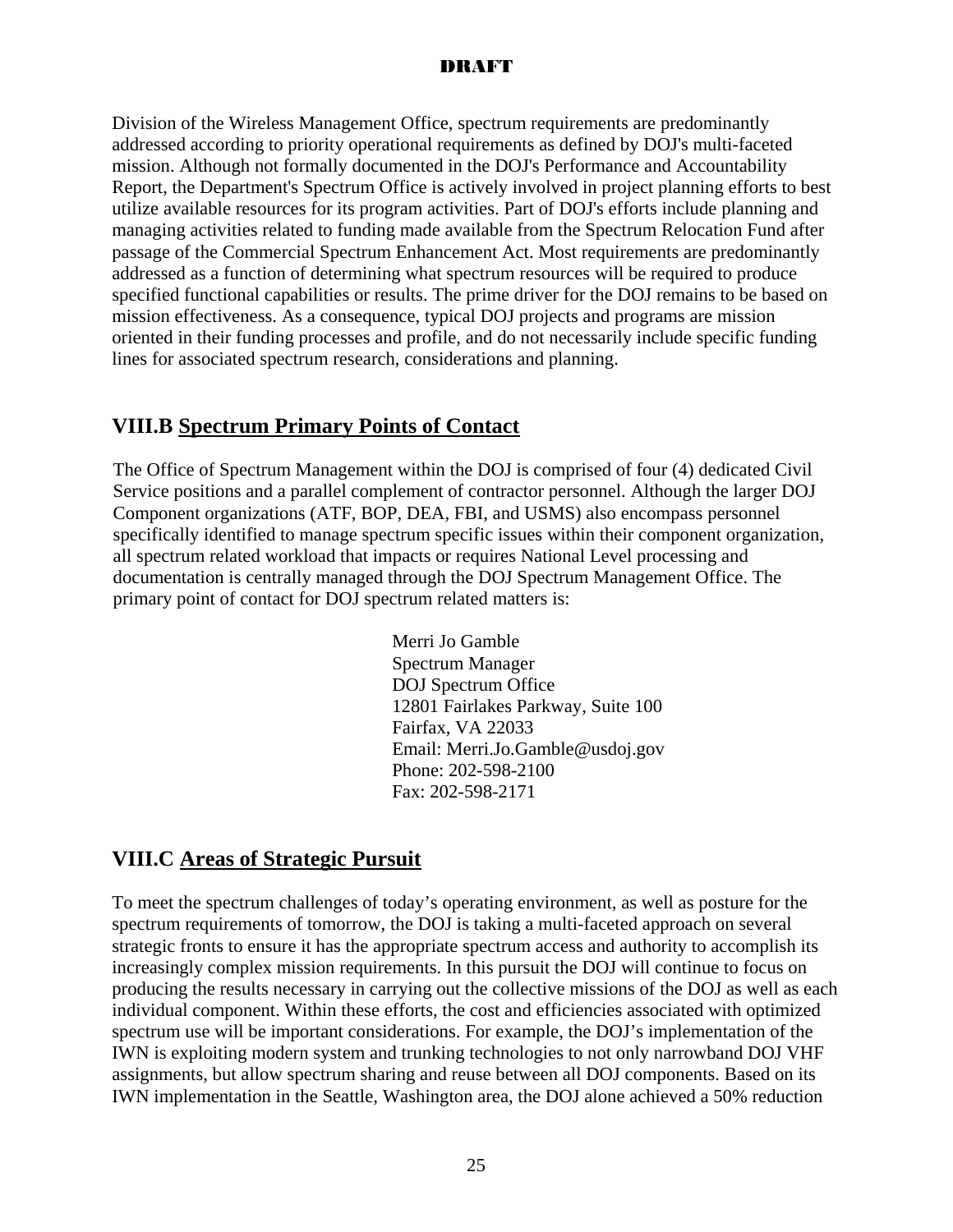Division of the Wireless Management Office, spectrum requirements are predominantly addressed according to priority operational requirements as defined by DOJ's multi-faceted mission. Although not formally documented in the DOJ's Performance and Accountability Report, the Department's Spectrum Office is actively involved in project planning efforts to best utilize available resources for its program activities. Part of DOJ's efforts include planning and managing activities related to funding made available from the Spectrum Relocation Fund after passage of the Commercial Spectrum Enhancement Act. Most requirements are predominantly addressed as a function of determining what spectrum resources will be required to produce specified functional capabilities or results. The prime driver for the DOJ remains to be based on mission effectiveness. As a consequence, typical DOJ projects and programs are mission oriented in their funding processes and profile, and do not necessarily include specific funding lines for associated spectrum research, considerations and planning.

## **VIII.B Spectrum Primary Points of Contact**

The Office of Spectrum Management within the DOJ is comprised of four (4) dedicated Civil Service positions and a parallel complement of contractor personnel. Although the larger DOJ Component organizations (ATF, BOP, DEA, FBI, and USMS) also encompass personnel specifically identified to manage spectrum specific issues within their component organization, all spectrum related workload that impacts or requires National Level processing and documentation is centrally managed through the DOJ Spectrum Management Office. The primary point of contact for DOJ spectrum related matters is:

> Merri Jo Gamble Spectrum Manager DOJ Spectrum Office 12801 Fairlakes Parkway, Suite 100 Fairfax, VA 22033 Email: Merri.Jo.Gamble@usdoj.gov Phone: 202-598-2100 Fax: 202-598-2171

## **VIII.C Areas of Strategic Pursuit**

To meet the spectrum challenges of today's operating environment, as well as posture for the spectrum requirements of tomorrow, the DOJ is taking a multi-faceted approach on several strategic fronts to ensure it has the appropriate spectrum access and authority to accomplish its increasingly complex mission requirements. In this pursuit the DOJ will continue to focus on producing the results necessary in carrying out the collective missions of the DOJ as well as each individual component. Within these efforts, the cost and efficiencies associated with optimized spectrum use will be important considerations. For example, the DOJ's implementation of the IWN is exploiting modern system and trunking technologies to not only narrowband DOJ VHF assignments, but allow spectrum sharing and reuse between all DOJ components. Based on its IWN implementation in the Seattle, Washington area, the DOJ alone achieved a 50% reduction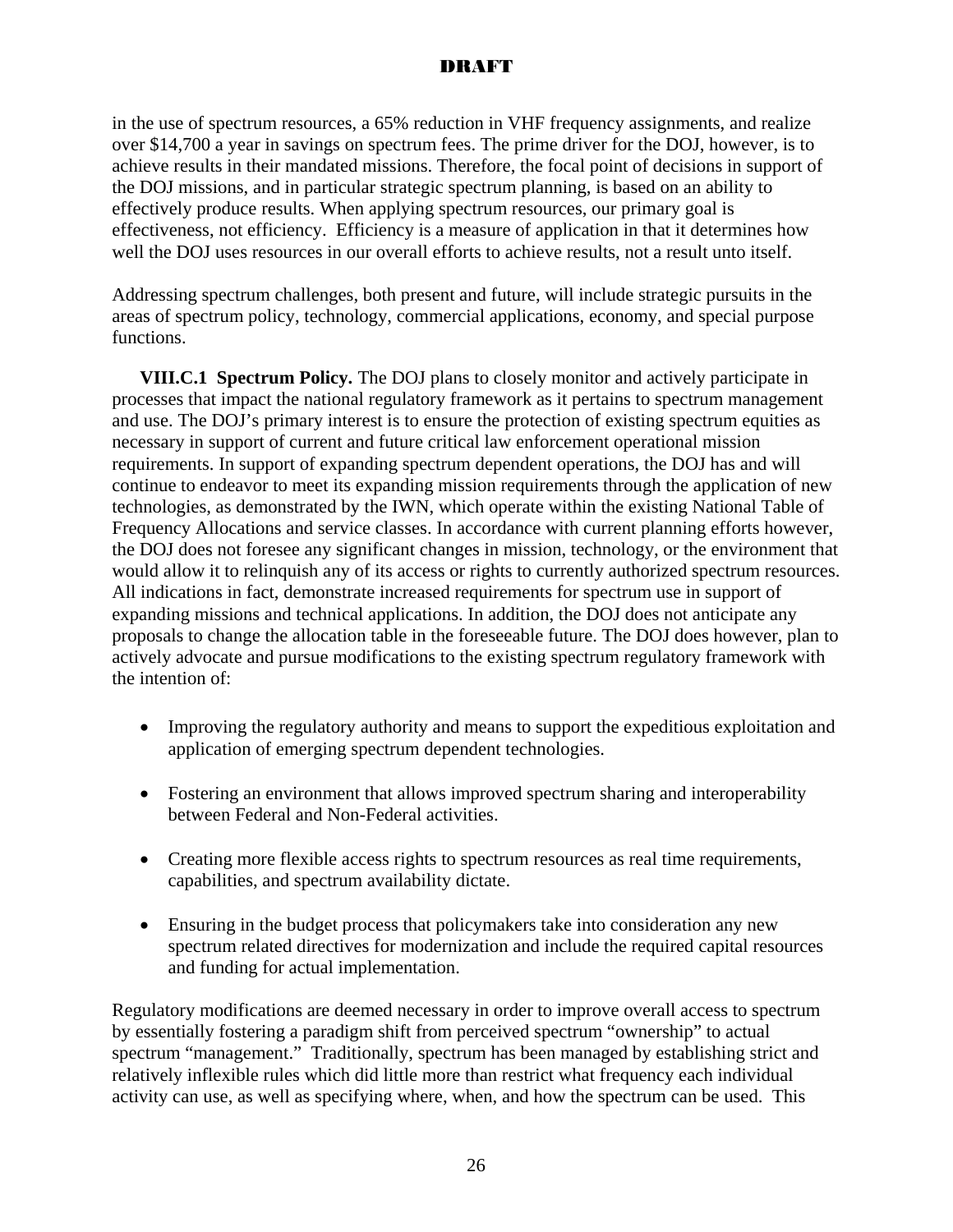in the use of spectrum resources, a 65% reduction in VHF frequency assignments, and realize over \$14,700 a year in savings on spectrum fees. The prime driver for the DOJ, however, is to achieve results in their mandated missions. Therefore, the focal point of decisions in support of the DOJ missions, and in particular strategic spectrum planning, is based on an ability to effectively produce results. When applying spectrum resources, our primary goal is effectiveness, not efficiency. Efficiency is a measure of application in that it determines how well the DOJ uses resources in our overall efforts to achieve results, not a result unto itself.

Addressing spectrum challenges, both present and future, will include strategic pursuits in the areas of spectrum policy, technology, commercial applications, economy, and special purpose functions.

**VIII.C.1 Spectrum Policy.** The DOJ plans to closely monitor and actively participate in processes that impact the national regulatory framework as it pertains to spectrum management and use. The DOJ's primary interest is to ensure the protection of existing spectrum equities as necessary in support of current and future critical law enforcement operational mission requirements. In support of expanding spectrum dependent operations, the DOJ has and will continue to endeavor to meet its expanding mission requirements through the application of new technologies, as demonstrated by the IWN, which operate within the existing National Table of Frequency Allocations and service classes. In accordance with current planning efforts however, the DOJ does not foresee any significant changes in mission, technology, or the environment that would allow it to relinquish any of its access or rights to currently authorized spectrum resources. All indications in fact, demonstrate increased requirements for spectrum use in support of expanding missions and technical applications. In addition, the DOJ does not anticipate any proposals to change the allocation table in the foreseeable future. The DOJ does however, plan to actively advocate and pursue modifications to the existing spectrum regulatory framework with the intention of:

- Improving the regulatory authority and means to support the expeditious exploitation and application of emerging spectrum dependent technologies.
- Fostering an environment that allows improved spectrum sharing and interoperability between Federal and Non-Federal activities.
- Creating more flexible access rights to spectrum resources as real time requirements, capabilities, and spectrum availability dictate.
- Ensuring in the budget process that policymakers take into consideration any new spectrum related directives for modernization and include the required capital resources and funding for actual implementation.

Regulatory modifications are deemed necessary in order to improve overall access to spectrum by essentially fostering a paradigm shift from perceived spectrum "ownership" to actual spectrum "management." Traditionally, spectrum has been managed by establishing strict and relatively inflexible rules which did little more than restrict what frequency each individual activity can use, as well as specifying where, when, and how the spectrum can be used. This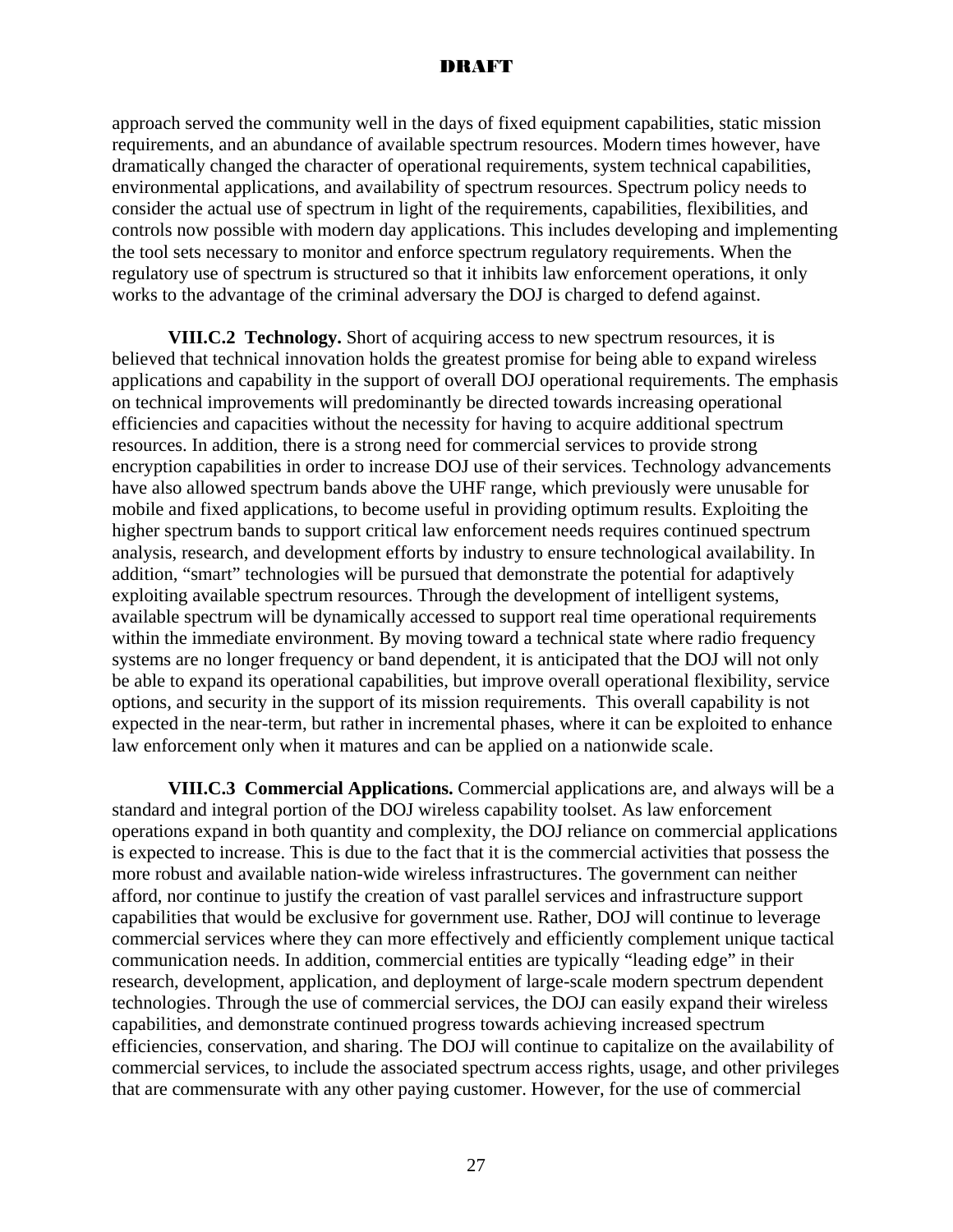approach served the community well in the days of fixed equipment capabilities, static mission requirements, and an abundance of available spectrum resources. Modern times however, have dramatically changed the character of operational requirements, system technical capabilities, environmental applications, and availability of spectrum resources. Spectrum policy needs to consider the actual use of spectrum in light of the requirements, capabilities, flexibilities, and controls now possible with modern day applications. This includes developing and implementing the tool sets necessary to monitor and enforce spectrum regulatory requirements. When the regulatory use of spectrum is structured so that it inhibits law enforcement operations, it only works to the advantage of the criminal adversary the DOJ is charged to defend against.

**VIII.C.2 Technology.** Short of acquiring access to new spectrum resources, it is believed that technical innovation holds the greatest promise for being able to expand wireless applications and capability in the support of overall DOJ operational requirements. The emphasis on technical improvements will predominantly be directed towards increasing operational efficiencies and capacities without the necessity for having to acquire additional spectrum resources. In addition, there is a strong need for commercial services to provide strong encryption capabilities in order to increase DOJ use of their services. Technology advancements have also allowed spectrum bands above the UHF range, which previously were unusable for mobile and fixed applications, to become useful in providing optimum results. Exploiting the higher spectrum bands to support critical law enforcement needs requires continued spectrum analysis, research, and development efforts by industry to ensure technological availability. In addition, "smart" technologies will be pursued that demonstrate the potential for adaptively exploiting available spectrum resources. Through the development of intelligent systems, available spectrum will be dynamically accessed to support real time operational requirements within the immediate environment. By moving toward a technical state where radio frequency systems are no longer frequency or band dependent, it is anticipated that the DOJ will not only be able to expand its operational capabilities, but improve overall operational flexibility, service options, and security in the support of its mission requirements. This overall capability is not expected in the near-term, but rather in incremental phases, where it can be exploited to enhance law enforcement only when it matures and can be applied on a nationwide scale.

**VIII.C.3 Commercial Applications.** Commercial applications are, and always will be a standard and integral portion of the DOJ wireless capability toolset. As law enforcement operations expand in both quantity and complexity, the DOJ reliance on commercial applications is expected to increase. This is due to the fact that it is the commercial activities that possess the more robust and available nation-wide wireless infrastructures. The government can neither afford, nor continue to justify the creation of vast parallel services and infrastructure support capabilities that would be exclusive for government use. Rather, DOJ will continue to leverage commercial services where they can more effectively and efficiently complement unique tactical communication needs. In addition, commercial entities are typically "leading edge" in their research, development, application, and deployment of large-scale modern spectrum dependent technologies. Through the use of commercial services, the DOJ can easily expand their wireless capabilities, and demonstrate continued progress towards achieving increased spectrum efficiencies, conservation, and sharing. The DOJ will continue to capitalize on the availability of commercial services, to include the associated spectrum access rights, usage, and other privileges that are commensurate with any other paying customer. However, for the use of commercial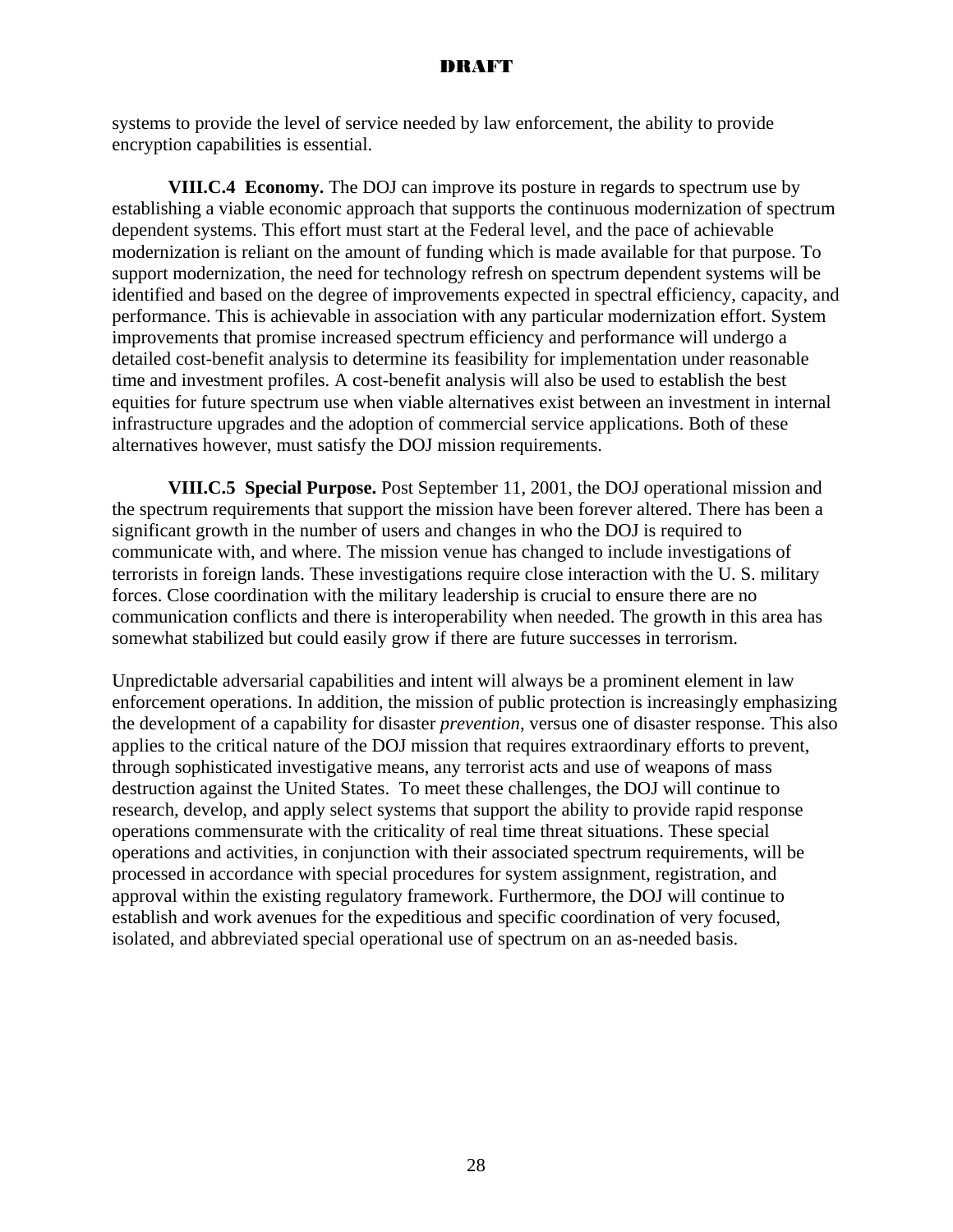systems to provide the level of service needed by law enforcement, the ability to provide encryption capabilities is essential.

**VIII.C.4 Economy.** The DOJ can improve its posture in regards to spectrum use by establishing a viable economic approach that supports the continuous modernization of spectrum dependent systems. This effort must start at the Federal level, and the pace of achievable modernization is reliant on the amount of funding which is made available for that purpose. To support modernization, the need for technology refresh on spectrum dependent systems will be identified and based on the degree of improvements expected in spectral efficiency, capacity, and performance. This is achievable in association with any particular modernization effort. System improvements that promise increased spectrum efficiency and performance will undergo a detailed cost-benefit analysis to determine its feasibility for implementation under reasonable time and investment profiles. A cost-benefit analysis will also be used to establish the best equities for future spectrum use when viable alternatives exist between an investment in internal infrastructure upgrades and the adoption of commercial service applications. Both of these alternatives however, must satisfy the DOJ mission requirements.

**VIII.C.5 Special Purpose.** Post September 11, 2001, the DOJ operational mission and the spectrum requirements that support the mission have been forever altered. There has been a significant growth in the number of users and changes in who the DOJ is required to communicate with, and where. The mission venue has changed to include investigations of terrorists in foreign lands. These investigations require close interaction with the U. S. military forces. Close coordination with the military leadership is crucial to ensure there are no communication conflicts and there is interoperability when needed. The growth in this area has somewhat stabilized but could easily grow if there are future successes in terrorism.

Unpredictable adversarial capabilities and intent will always be a prominent element in law enforcement operations. In addition, the mission of public protection is increasingly emphasizing the development of a capability for disaster *prevention*, versus one of disaster response. This also applies to the critical nature of the DOJ mission that requires extraordinary efforts to prevent, through sophisticated investigative means, any terrorist acts and use of weapons of mass destruction against the United States. To meet these challenges, the DOJ will continue to research, develop, and apply select systems that support the ability to provide rapid response operations commensurate with the criticality of real time threat situations. These special operations and activities, in conjunction with their associated spectrum requirements, will be processed in accordance with special procedures for system assignment, registration, and approval within the existing regulatory framework. Furthermore, the DOJ will continue to establish and work avenues for the expeditious and specific coordination of very focused, isolated, and abbreviated special operational use of spectrum on an as-needed basis.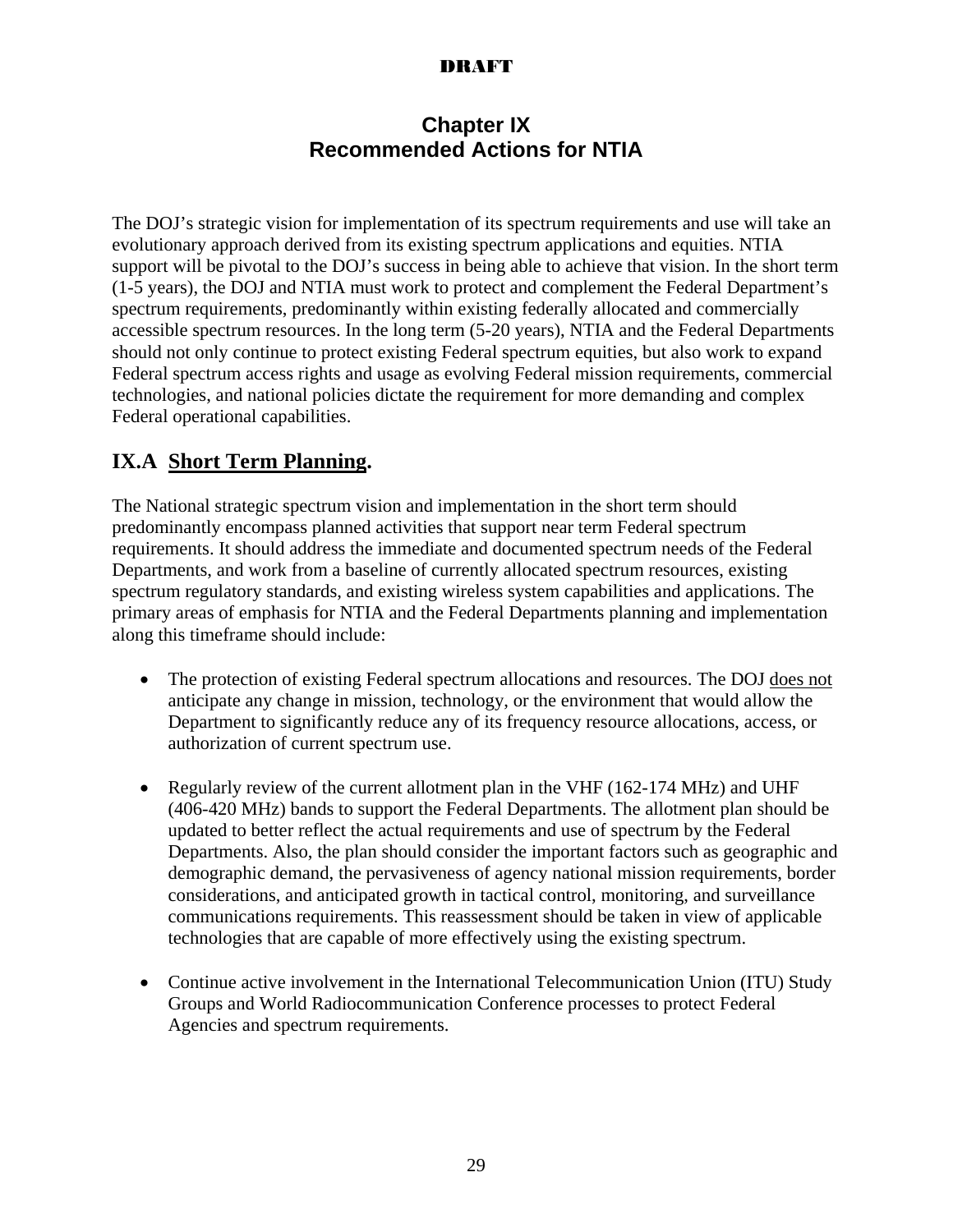## **Chapter IX Recommended Actions for NTIA**

The DOJ's strategic vision for implementation of its spectrum requirements and use will take an evolutionary approach derived from its existing spectrum applications and equities. NTIA support will be pivotal to the DOJ's success in being able to achieve that vision. In the short term (1-5 years), the DOJ and NTIA must work to protect and complement the Federal Department's spectrum requirements, predominantly within existing federally allocated and commercially accessible spectrum resources. In the long term (5-20 years), NTIA and the Federal Departments should not only continue to protect existing Federal spectrum equities, but also work to expand Federal spectrum access rights and usage as evolving Federal mission requirements, commercial technologies, and national policies dictate the requirement for more demanding and complex Federal operational capabilities.

## **IX.A Short Term Planning.**

The National strategic spectrum vision and implementation in the short term should predominantly encompass planned activities that support near term Federal spectrum requirements. It should address the immediate and documented spectrum needs of the Federal Departments, and work from a baseline of currently allocated spectrum resources, existing spectrum regulatory standards, and existing wireless system capabilities and applications. The primary areas of emphasis for NTIA and the Federal Departments planning and implementation along this timeframe should include:

- The protection of existing Federal spectrum allocations and resources. The DOJ does not anticipate any change in mission, technology, or the environment that would allow the Department to significantly reduce any of its frequency resource allocations, access, or authorization of current spectrum use.
- Regularly review of the current allotment plan in the VHF (162-174 MHz) and UHF (406-420 MHz) bands to support the Federal Departments. The allotment plan should be updated to better reflect the actual requirements and use of spectrum by the Federal Departments. Also, the plan should consider the important factors such as geographic and demographic demand, the pervasiveness of agency national mission requirements, border considerations, and anticipated growth in tactical control, monitoring, and surveillance communications requirements. This reassessment should be taken in view of applicable technologies that are capable of more effectively using the existing spectrum.
- Continue active involvement in the International Telecommunication Union (ITU) Study Groups and World Radiocommunication Conference processes to protect Federal Agencies and spectrum requirements.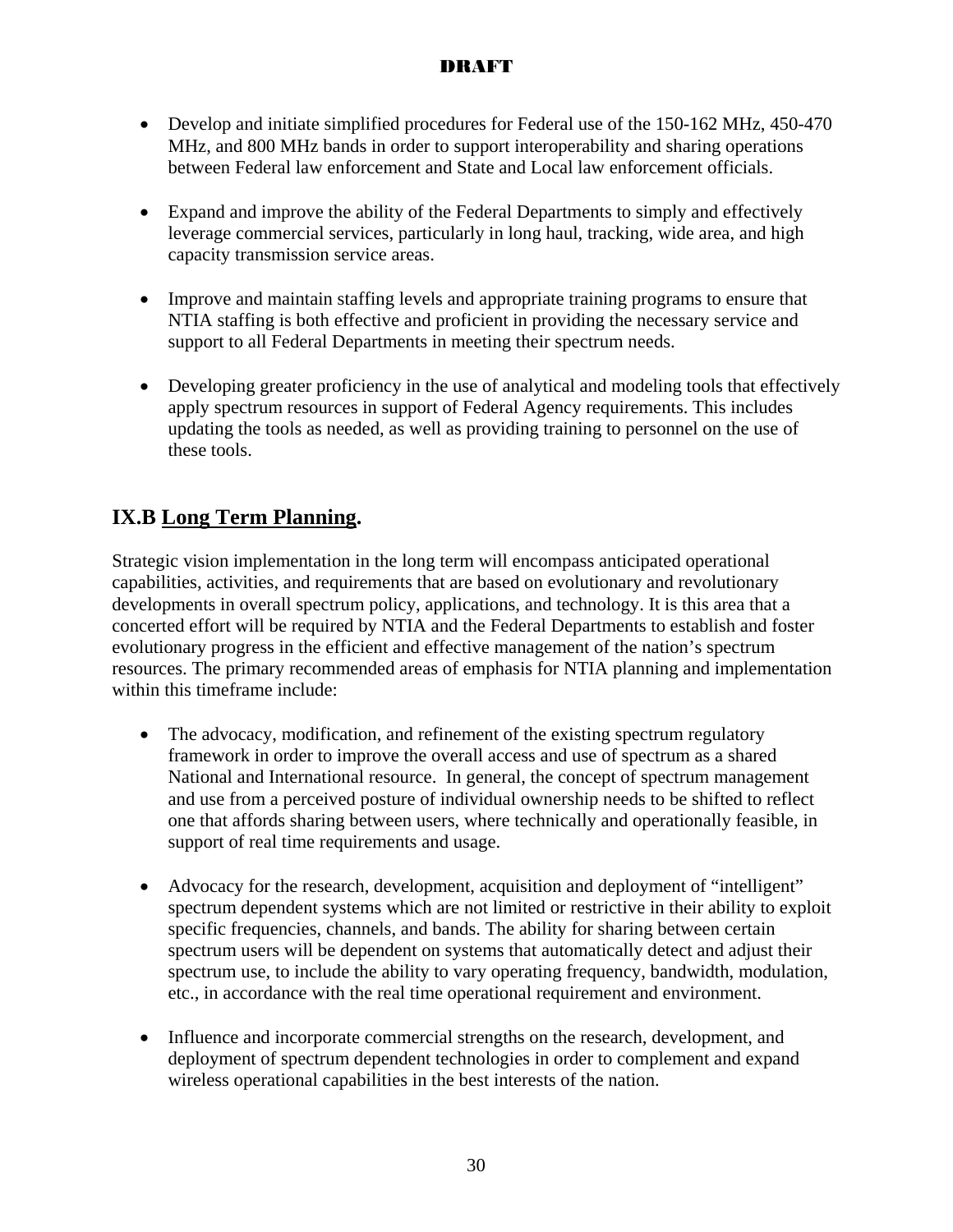- Develop and initiate simplified procedures for Federal use of the 150-162 MHz, 450-470 MHz, and 800 MHz bands in order to support interoperability and sharing operations between Federal law enforcement and State and Local law enforcement officials.
- Expand and improve the ability of the Federal Departments to simply and effectively leverage commercial services, particularly in long haul, tracking, wide area, and high capacity transmission service areas.
- Improve and maintain staffing levels and appropriate training programs to ensure that NTIA staffing is both effective and proficient in providing the necessary service and support to all Federal Departments in meeting their spectrum needs.
- Developing greater proficiency in the use of analytical and modeling tools that effectively apply spectrum resources in support of Federal Agency requirements. This includes updating the tools as needed, as well as providing training to personnel on the use of these tools.

## **IX.B Long Term Planning.**

Strategic vision implementation in the long term will encompass anticipated operational capabilities, activities, and requirements that are based on evolutionary and revolutionary developments in overall spectrum policy, applications, and technology. It is this area that a concerted effort will be required by NTIA and the Federal Departments to establish and foster evolutionary progress in the efficient and effective management of the nation's spectrum resources. The primary recommended areas of emphasis for NTIA planning and implementation within this timeframe include:

- The advocacy, modification, and refinement of the existing spectrum regulatory framework in order to improve the overall access and use of spectrum as a shared National and International resource. In general, the concept of spectrum management and use from a perceived posture of individual ownership needs to be shifted to reflect one that affords sharing between users, where technically and operationally feasible, in support of real time requirements and usage.
- Advocacy for the research, development, acquisition and deployment of "intelligent" spectrum dependent systems which are not limited or restrictive in their ability to exploit specific frequencies, channels, and bands. The ability for sharing between certain spectrum users will be dependent on systems that automatically detect and adjust their spectrum use, to include the ability to vary operating frequency, bandwidth, modulation, etc., in accordance with the real time operational requirement and environment.
- Influence and incorporate commercial strengths on the research, development, and deployment of spectrum dependent technologies in order to complement and expand wireless operational capabilities in the best interests of the nation.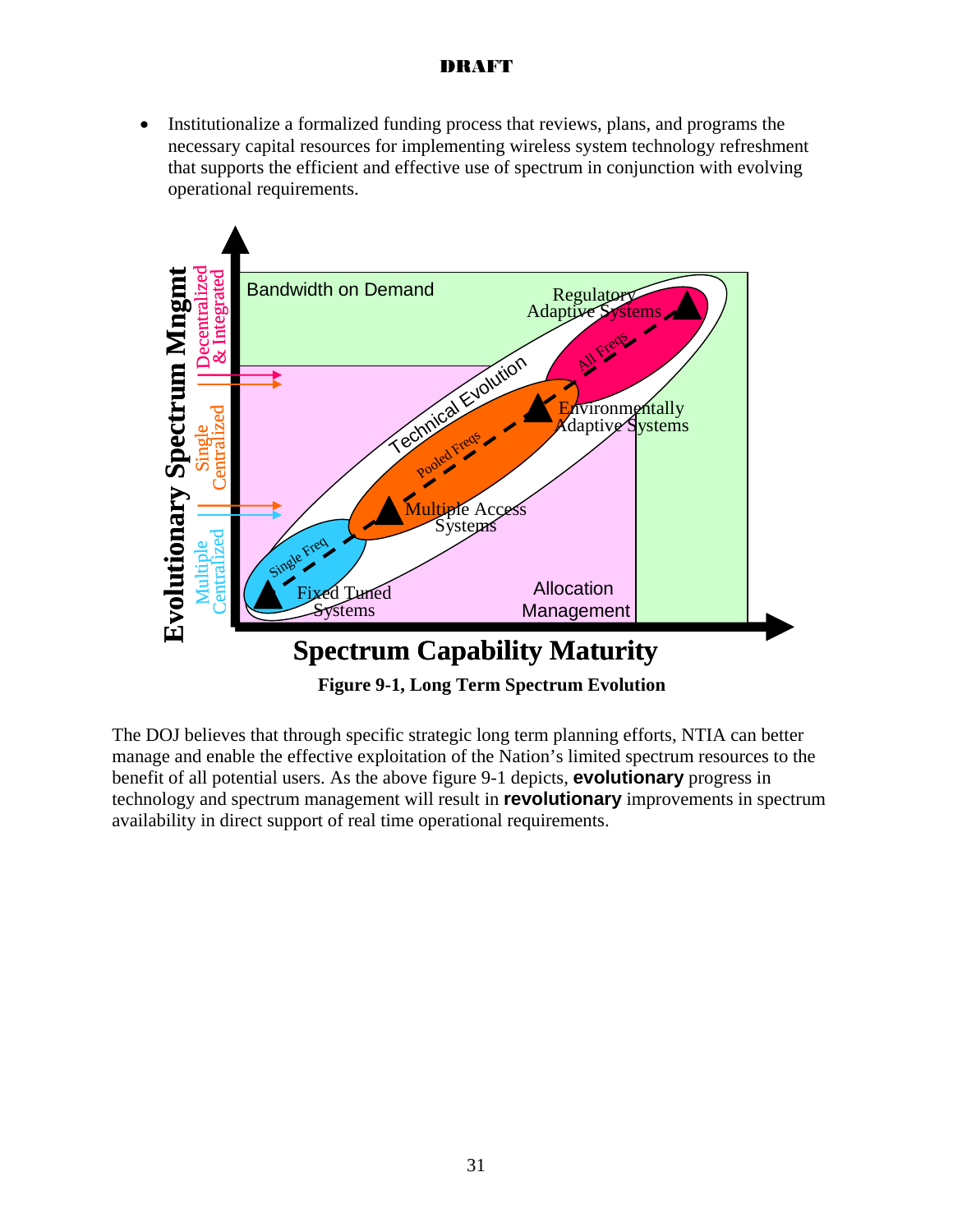Institutionalize a formalized funding process that reviews, plans, and programs the necessary capital resources for implementing wireless system technology refreshment that supports the efficient and effective use of spectrum in conjunction with evolving operational requirements.



The DOJ believes that through specific strategic long term planning efforts, NTIA can better manage and enable the effective exploitation of the Nation's limited spectrum resources to the benefit of all potential users. As the above figure 9-1 depicts, **evolutionary** progress in technology and spectrum management will result in **revolutionary** improvements in spectrum availability in direct support of real time operational requirements.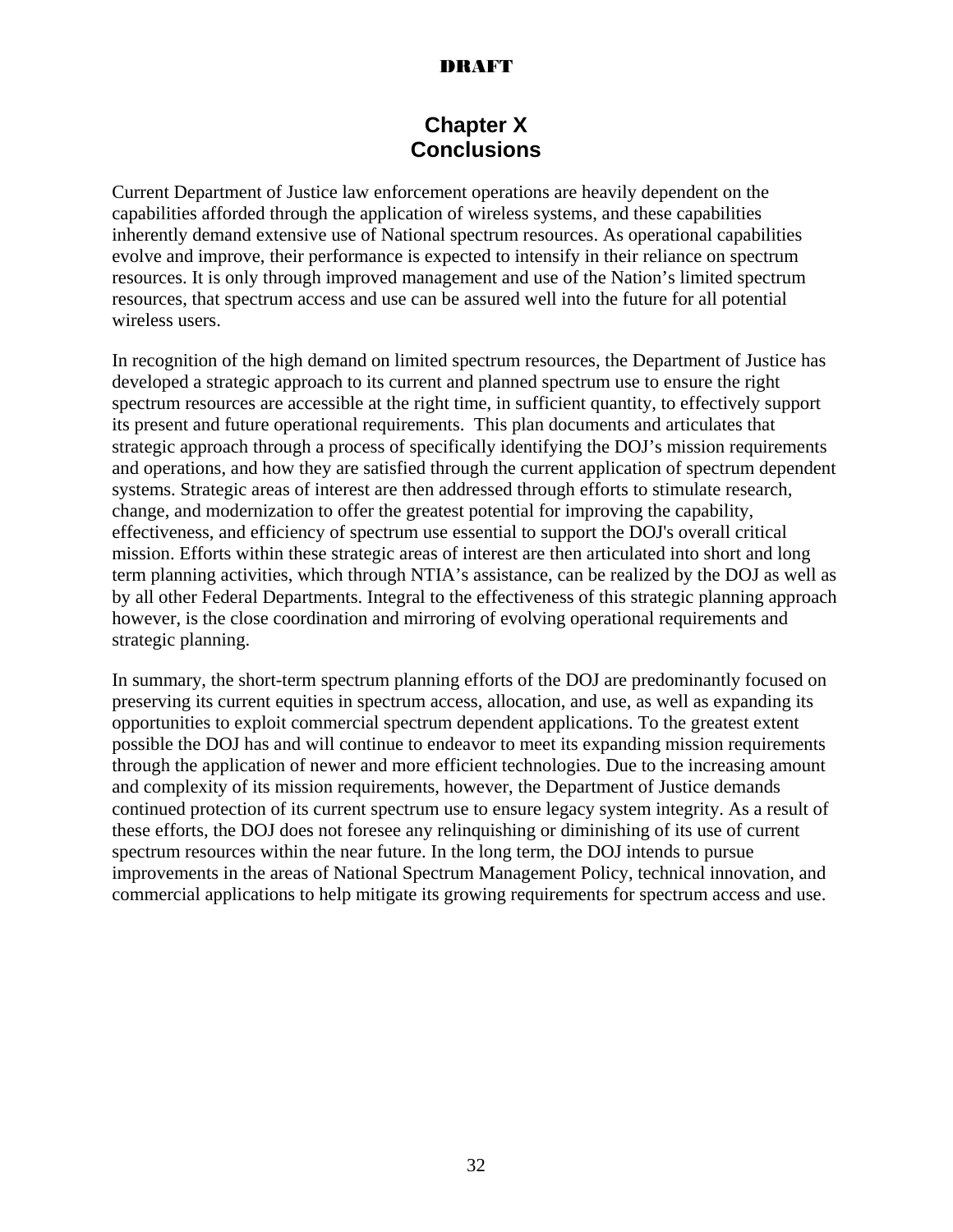## **Chapter X Conclusions**

Current Department of Justice law enforcement operations are heavily dependent on the capabilities afforded through the application of wireless systems, and these capabilities inherently demand extensive use of National spectrum resources. As operational capabilities evolve and improve, their performance is expected to intensify in their reliance on spectrum resources. It is only through improved management and use of the Nation's limited spectrum resources, that spectrum access and use can be assured well into the future for all potential wireless users.

In recognition of the high demand on limited spectrum resources, the Department of Justice has developed a strategic approach to its current and planned spectrum use to ensure the right spectrum resources are accessible at the right time, in sufficient quantity, to effectively support its present and future operational requirements. This plan documents and articulates that strategic approach through a process of specifically identifying the DOJ's mission requirements and operations, and how they are satisfied through the current application of spectrum dependent systems. Strategic areas of interest are then addressed through efforts to stimulate research, change, and modernization to offer the greatest potential for improving the capability, effectiveness, and efficiency of spectrum use essential to support the DOJ's overall critical mission. Efforts within these strategic areas of interest are then articulated into short and long term planning activities, which through NTIA's assistance, can be realized by the DOJ as well as by all other Federal Departments. Integral to the effectiveness of this strategic planning approach however, is the close coordination and mirroring of evolving operational requirements and strategic planning.

In summary, the short-term spectrum planning efforts of the DOJ are predominantly focused on preserving its current equities in spectrum access, allocation, and use, as well as expanding its opportunities to exploit commercial spectrum dependent applications. To the greatest extent possible the DOJ has and will continue to endeavor to meet its expanding mission requirements through the application of newer and more efficient technologies. Due to the increasing amount and complexity of its mission requirements, however, the Department of Justice demands continued protection of its current spectrum use to ensure legacy system integrity. As a result of these efforts, the DOJ does not foresee any relinquishing or diminishing of its use of current spectrum resources within the near future. In the long term, the DOJ intends to pursue improvements in the areas of National Spectrum Management Policy, technical innovation, and commercial applications to help mitigate its growing requirements for spectrum access and use.